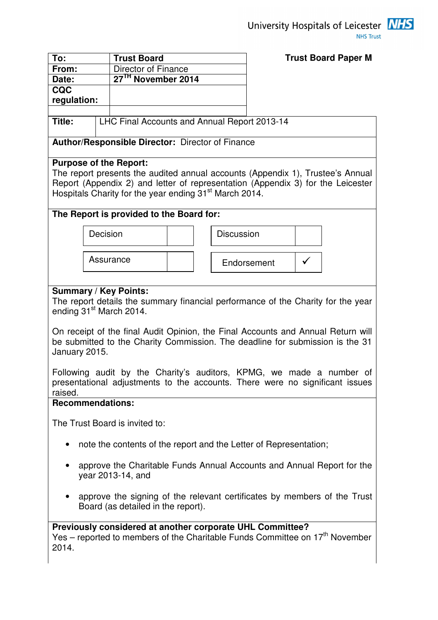

| To:                                                                      |                                                                                  | <b>Trust Board</b>                                                               | <b>Trust Board Paper M</b> |  |
|--------------------------------------------------------------------------|----------------------------------------------------------------------------------|----------------------------------------------------------------------------------|----------------------------|--|
| From:                                                                    |                                                                                  | Director of Finance                                                              |                            |  |
| Date:                                                                    |                                                                                  | 27 <sup>TH</sup> November 2014                                                   |                            |  |
| <b>CQC</b>                                                               |                                                                                  |                                                                                  |                            |  |
| regulation:                                                              |                                                                                  |                                                                                  |                            |  |
|                                                                          |                                                                                  |                                                                                  |                            |  |
| Title:                                                                   |                                                                                  | LHC Final Accounts and Annual Report 2013-14                                     |                            |  |
|                                                                          |                                                                                  |                                                                                  |                            |  |
|                                                                          |                                                                                  | Author/Responsible Director: Director of Finance                                 |                            |  |
|                                                                          |                                                                                  | <b>Purpose of the Report:</b>                                                    |                            |  |
|                                                                          |                                                                                  | The report presents the audited annual accounts (Appendix 1), Trustee's Annual   |                            |  |
|                                                                          |                                                                                  | Report (Appendix 2) and letter of representation (Appendix 3) for the Leicester  |                            |  |
|                                                                          |                                                                                  | Hospitals Charity for the year ending 31 <sup>st</sup> March 2014.               |                            |  |
|                                                                          |                                                                                  |                                                                                  |                            |  |
|                                                                          |                                                                                  | The Report is provided to the Board for:                                         |                            |  |
|                                                                          | Decision                                                                         | <b>Discussion</b>                                                                |                            |  |
|                                                                          |                                                                                  |                                                                                  |                            |  |
|                                                                          |                                                                                  |                                                                                  |                            |  |
|                                                                          |                                                                                  | Assurance                                                                        | Endorsement                |  |
|                                                                          |                                                                                  |                                                                                  |                            |  |
|                                                                          |                                                                                  | <b>Summary / Key Points:</b>                                                     |                            |  |
|                                                                          |                                                                                  | The report details the summary financial performance of the Charity for the year |                            |  |
|                                                                          |                                                                                  | ending 31 <sup>st</sup> March 2014.                                              |                            |  |
|                                                                          |                                                                                  |                                                                                  |                            |  |
|                                                                          | On receipt of the final Audit Opinion, the Final Accounts and Annual Return will |                                                                                  |                            |  |
|                                                                          | be submitted to the Charity Commission. The deadline for submission is the 31    |                                                                                  |                            |  |
| January 2015.                                                            |                                                                                  |                                                                                  |                            |  |
|                                                                          |                                                                                  |                                                                                  |                            |  |
|                                                                          |                                                                                  | Following audit by the Charity's auditors, KPMG, we made a number of             |                            |  |
|                                                                          |                                                                                  | presentational adjustments to the accounts. There were no significant issues     |                            |  |
| raised.                                                                  |                                                                                  |                                                                                  |                            |  |
| <b>Recommendations:</b>                                                  |                                                                                  |                                                                                  |                            |  |
|                                                                          |                                                                                  | The Trust Board is invited to:                                                   |                            |  |
|                                                                          |                                                                                  |                                                                                  |                            |  |
| $\bullet$                                                                |                                                                                  | note the contents of the report and the Letter of Representation;                |                            |  |
|                                                                          |                                                                                  |                                                                                  |                            |  |
| approve the Charitable Funds Annual Accounts and Annual Report for the   |                                                                                  |                                                                                  |                            |  |
|                                                                          |                                                                                  | year 2013-14, and                                                                |                            |  |
|                                                                          |                                                                                  |                                                                                  |                            |  |
| approve the signing of the relevant certificates by members of the Trust |                                                                                  |                                                                                  |                            |  |
|                                                                          |                                                                                  | Board (as detailed in the report).                                               |                            |  |
|                                                                          |                                                                                  |                                                                                  |                            |  |
|                                                                          |                                                                                  | Previously considered at another corporate UHL Committee?                        |                            |  |
|                                                                          |                                                                                  | Yes – reported to members of the Charitable Funds Committee on $17th$ November   |                            |  |
| 2014.                                                                    |                                                                                  |                                                                                  |                            |  |
|                                                                          |                                                                                  |                                                                                  |                            |  |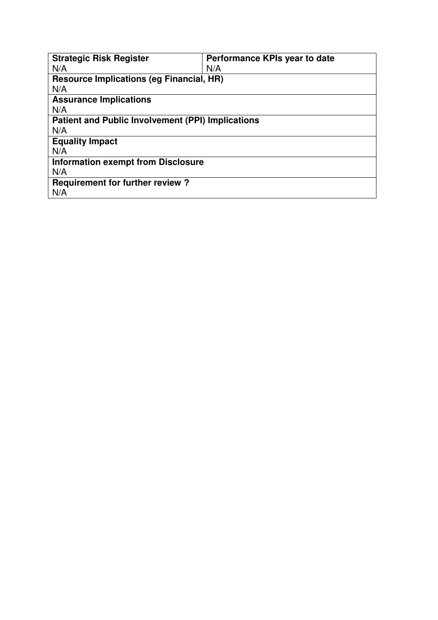| <b>Strategic Risk Register</b>                           | Performance KPIs year to date |
|----------------------------------------------------------|-------------------------------|
| N/A                                                      | N/A                           |
| <b>Resource Implications (eg Financial, HR)</b>          |                               |
| N/A                                                      |                               |
| <b>Assurance Implications</b>                            |                               |
| N/A                                                      |                               |
| <b>Patient and Public Involvement (PPI) Implications</b> |                               |
| N/A                                                      |                               |
| <b>Equality Impact</b>                                   |                               |
| N/A                                                      |                               |
| <b>Information exempt from Disclosure</b>                |                               |
| N/A                                                      |                               |
| <b>Requirement for further review?</b>                   |                               |
| N/A                                                      |                               |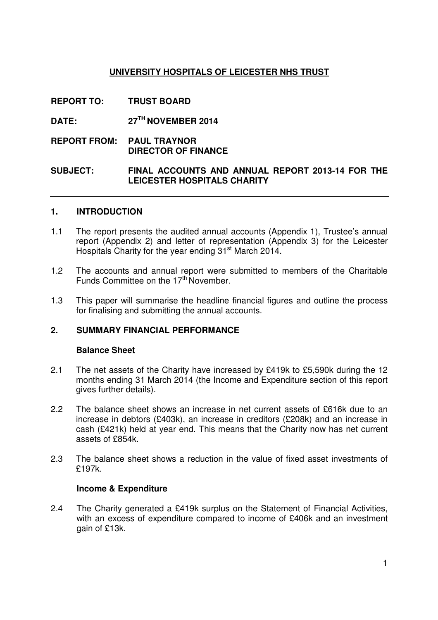### **UNIVERSITY HOSPITALS OF LEICESTER NHS TRUST**

- **REPORT TO: TRUST BOARD**
- **DATE: 27TH NOVEMBER 2014**
- **REPORT FROM: PAUL TRAYNOR DIRECTOR OF FINANCE**

### **SUBJECT: FINAL ACCOUNTS AND ANNUAL REPORT 2013-14 FOR THE LEICESTER HOSPITALS CHARITY**

### **1. INTRODUCTION**

- 1.1 The report presents the audited annual accounts (Appendix 1), Trustee's annual report (Appendix 2) and letter of representation (Appendix 3) for the Leicester Hospitals Charity for the year ending 31<sup>st</sup> March 2014.
- 1.2 The accounts and annual report were submitted to members of the Charitable Funds Committee on the 17<sup>th</sup> November.
- 1.3 This paper will summarise the headline financial figures and outline the process for finalising and submitting the annual accounts.

### **2. SUMMARY FINANCIAL PERFORMANCE**

### **Balance Sheet**

- 2.1 The net assets of the Charity have increased by £419k to £5,590k during the 12 months ending 31 March 2014 (the Income and Expenditure section of this report gives further details).
- 2.2 The balance sheet shows an increase in net current assets of £616k due to an increase in debtors (£403k), an increase in creditors (£208k) and an increase in cash (£421k) held at year end. This means that the Charity now has net current assets of £854k.
- 2.3 The balance sheet shows a reduction in the value of fixed asset investments of £197k.

### **Income & Expenditure**

2.4 The Charity generated a £419k surplus on the Statement of Financial Activities, with an excess of expenditure compared to income of £406k and an investment gain of £13k.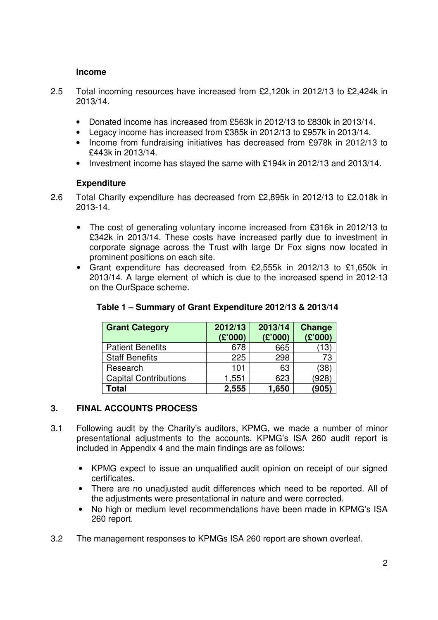### **Income**

- 2.5 Total incoming resources have increased from £2,120k in 2012/13 to £2,424k in 2013/14.
	- Donated income has increased from £563k in 2012/13 to £830k in 2013/14.
	- Legacy income has increased from £385k in 2012/13 to £957k in 2013/14.
	- Income from fundraising initiatives has decreased from £978k in 2012/13 to £443k in 2013/14.
	- Investment income has stayed the same with £194k in 2012/13 and 2013/14.

### **Expenditure**

- 2.6 Total Charity expenditure has decreased from £2,895k in 2012/13 to £2,018k in 2013-14.
	- The cost of generating voluntary income increased from £316k in 2012/13 to £342k in 2013/14. These costs have increased partly due to investment in corporate signage across the Trust with large Dr Fox signs now located in prominent positions on each site.
	- Grant expenditure has decreased from £2,555k in 2012/13 to £1,650k in 2013/14. A large element of which is due to the increased spend in 2012-13 on the OurSpace scheme.

| <b>Grant Category</b>        | 2012/13<br>(E'000) | 2013/14<br>(E'000) | <b>Change</b><br>(E'000) |
|------------------------------|--------------------|--------------------|--------------------------|
| <b>Patient Benefits</b>      | 678                | 665                | 13                       |
| <b>Staff Benefits</b>        | 225                | 298                | 73                       |
| Research                     | 101                | 63                 | (38)                     |
| <b>Capital Contributions</b> | 1,551              | 623                | (928)                    |
| <b>Total</b>                 | 2,555              | 1,650              | (905)                    |

### **Table 1 – Summary of Grant Expenditure 2012/13 & 2013/14**

### **3. FINAL ACCOUNTS PROCESS**

- 3.1 Following audit by the Charity's auditors, KPMG, we made a number of minor presentational adjustments to the accounts. KPMG's ISA 260 audit report is included in Appendix 4 and the main findings are as follows:
	- KPMG expect to issue an unqualified audit opinion on receipt of our signed certificates.
	- There are no unadjusted audit differences which need to be reported. All of the adjustments were presentational in nature and were corrected.
	- No high or medium level recommendations have been made in KPMG's ISA 260 report.
- 3.2 The management responses to KPMGs ISA 260 report are shown overleaf.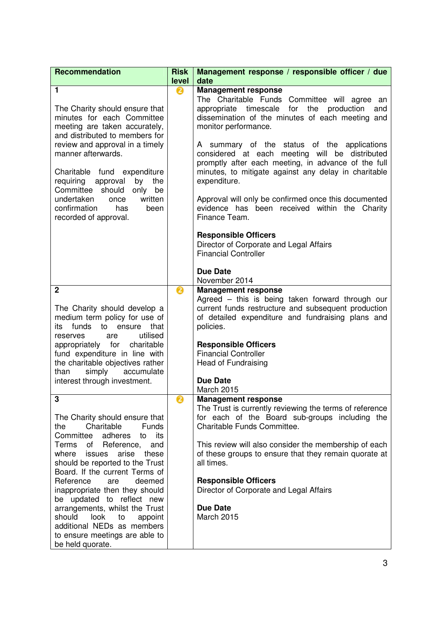| <b>Recommendation</b>                                                                                                                                                                                                                                                                                                                                                                                                                                                                                             | <b>Risk</b> | Management response / responsible officer / due                                                                                                                                                                                                                                                                                                                                                                                                                                                                                                                                                                                                                              |
|-------------------------------------------------------------------------------------------------------------------------------------------------------------------------------------------------------------------------------------------------------------------------------------------------------------------------------------------------------------------------------------------------------------------------------------------------------------------------------------------------------------------|-------------|------------------------------------------------------------------------------------------------------------------------------------------------------------------------------------------------------------------------------------------------------------------------------------------------------------------------------------------------------------------------------------------------------------------------------------------------------------------------------------------------------------------------------------------------------------------------------------------------------------------------------------------------------------------------------|
|                                                                                                                                                                                                                                                                                                                                                                                                                                                                                                                   | level       | date                                                                                                                                                                                                                                                                                                                                                                                                                                                                                                                                                                                                                                                                         |
| 1<br>The Charity should ensure that<br>minutes for each Committee<br>meeting are taken accurately,<br>and distributed to members for<br>review and approval in a timely<br>manner afterwards.<br>Charitable fund<br>expenditure<br>the<br>by<br>requiring<br>approval<br>Committee should<br>only<br>be<br>undertaken<br>written<br>once<br>confirmation<br>has<br>been<br>recorded of approval.                                                                                                                  | ❷           | <b>Management response</b><br>The Charitable Funds Committee will agree an<br>appropriate timescale for the production<br>and<br>dissemination of the minutes of each meeting and<br>monitor performance.<br>A summary of the status of the applications<br>considered at each meeting will be distributed<br>promptly after each meeting, in advance of the full<br>minutes, to mitigate against any delay in charitable<br>expenditure.<br>Approval will only be confirmed once this documented<br>evidence has been received within the Charity<br>Finance Team.<br><b>Responsible Officers</b><br>Director of Corporate and Legal Affairs<br><b>Financial Controller</b> |
|                                                                                                                                                                                                                                                                                                                                                                                                                                                                                                                   |             | <b>Due Date</b><br>November 2014                                                                                                                                                                                                                                                                                                                                                                                                                                                                                                                                                                                                                                             |
| $\overline{2}$<br>The Charity should develop a<br>medium term policy for use of<br>funds<br>that<br>to<br>ensure<br>its<br>utilised<br>are<br>reserves<br>appropriately for<br>charitable<br>fund expenditure in line with<br>the charitable objectives rather<br>simply<br>accumulate<br>than<br>interest through investment.                                                                                                                                                                                    | ❷           | <b>Management response</b><br>Agreed - this is being taken forward through our<br>current funds restructure and subsequent production<br>of detailed expenditure and fundraising plans and<br>policies.<br><b>Responsible Officers</b><br><b>Financial Controller</b><br><b>Head of Fundraising</b><br><b>Due Date</b><br><b>March 2015</b>                                                                                                                                                                                                                                                                                                                                  |
| 3<br>The Charity should ensure that<br>Charitable<br><b>Funds</b><br>the<br>adheres<br>Committee<br>its<br>to<br>Reference,<br>Terms<br>of<br>and<br>where<br>issues<br>arise<br>these<br>should be reported to the Trust<br>Board. If the current Terms of<br>Reference<br>deemed<br>are<br>inappropriate then they should<br>be updated to reflect new<br>arrangements, whilst the Trust<br>should<br>look<br>to<br>appoint<br>additional NEDs as members<br>to ensure meetings are able to<br>be held quorate. | ❷           | <b>Management response</b><br>The Trust is currently reviewing the terms of reference<br>for each of the Board sub-groups including the<br>Charitable Funds Committee.<br>This review will also consider the membership of each<br>of these groups to ensure that they remain quorate at<br>all times.<br><b>Responsible Officers</b><br>Director of Corporate and Legal Affairs<br><b>Due Date</b><br>March 2015                                                                                                                                                                                                                                                            |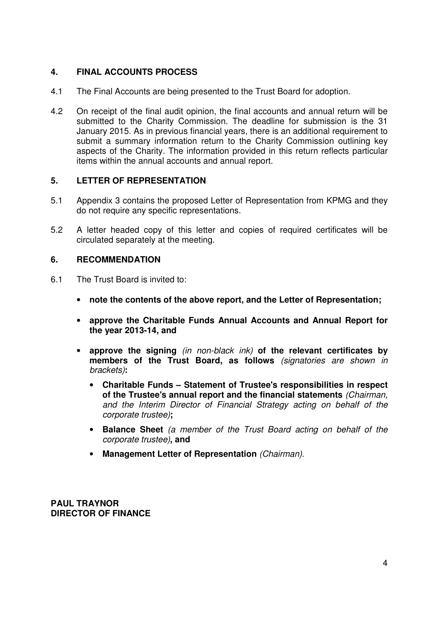### **4. FINAL ACCOUNTS PROCESS**

- 4.1 The Final Accounts are being presented to the Trust Board for adoption.
- 4.2 On receipt of the final audit opinion, the final accounts and annual return will be submitted to the Charity Commission. The deadline for submission is the 31 January 2015. As in previous financial years, there is an additional requirement to submit a summary information return to the Charity Commission outlining key aspects of the Charity. The information provided in this return reflects particular items within the annual accounts and annual report.

### **5. LETTER OF REPRESENTATION**

- 5.1 Appendix 3 contains the proposed Letter of Representation from KPMG and they do not require any specific representations.
- 5.2 A letter headed copy of this letter and copies of required certificates will be circulated separately at the meeting.

### **6. RECOMMENDATION**

- 6.1 The Trust Board is invited to:
	- **note the contents of the above report, and the Letter of Representation;**
	- **approve the Charitable Funds Annual Accounts and Annual Report for the year 2013-14, and**
	- **approve the signing** (in non-black ink) **of the relevant certificates by members of the Trust Board, as follows** (signatories are shown in brackets)**:**
		- **Charitable Funds Statement of Trustee's responsibilities in respect of the Trustee's annual report and the financial statements** (Chairman, and the Interim Director of Financial Strategy acting on behalf of the corporate trustee)**;**
		- **Balance Sheet** (a member of the Trust Board acting on behalf of the corporate trustee)**, and**
		- **Management Letter of Representation** (Chairman).

**PAUL TRAYNOR DIRECTOR OF FINANCE**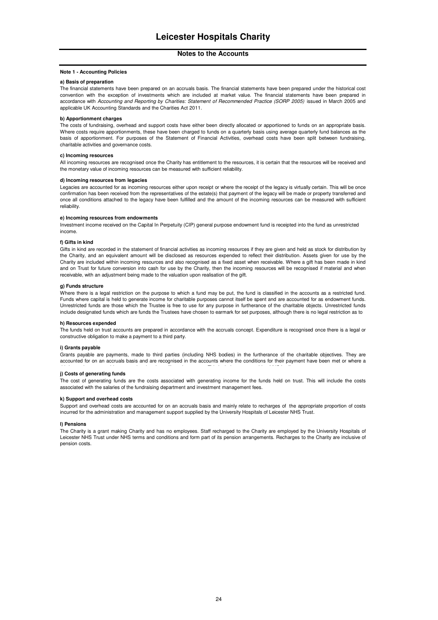#### **Note 1 - Accounting Policies**

#### **a) Basis of preparation**

The financial statements have been prepared on an accruals basis. The financial statements have been prepared under the historical cost convention with the exception of investments which are included at market value. The financial statements have been prepared in accordance with Accounting and Reporting by Charities: Statement of Recommended Practice (SORP 2005) issued in March 2005 and applicable UK Accounting Standards and the Charities Act 2011.

#### **b) Apportionment charges**

The costs of fundraising, overhead and support costs have either been directly allocated or apportioned to funds on an appropriate basis. Where costs require apportionments, these have been charged to funds on a quarterly basis using average quarterly fund balances as the basis of apportionment. For purposes of the Statement of Financial Activities, overhead costs have been split between fundraising, charitable activities and governance costs.

#### **c) Incoming resources**

All incoming resources are recognised once the Charity has entitlement to the resources, it is certain that the resources will be received and the monetary value of incoming resources can be measured with sufficient reliability.

#### **d) Incoming resources from legacies**

Legacies are accounted for as incoming resources either upon receipt or where the receipt of the legacy is virtually certain. This will be once confirmation has been received from the representatives of the estate(s) that payment of the legacy will be made or property transferred and once all conditions attached to the legacy have been fulfilled and the amount of the incoming resources can be measured with sufficient reliability.

#### **e) Incoming resources from endowments**

Investment income received on the Capital In Perpetuity (CIP) general purpose endowment fund is receipted into the fund as unrestricted income.

### **f) Gifts in kind**

Gifts in kind are recorded in the statement of financial activities as incoming resources if they are given and held as stock for distribution by the Charity, and an equivalent amount will be disclosed as resources expended to reflect their distribution. Assets given for use by the Charity are included within incoming resources and also recognised as a fixed asset when receivable. Where a gift has been made in kind and on Trust for future conversion into cash for use by the Charity, then the incoming resources will be recognised if material and when receivable, with an adjustment being made to the valuation upon realisation of the gift.

#### **g) Funds structure**

Where there is a legal restriction on the purpose to which a fund may be put, the fund is classified in the accounts as a restricted fund. Funds where capital is held to generate income for charitable purposes cannot itself be spent and are accounted for as endowment funds. Unrestricted funds are those which the Trustee is free to use for any purpose in furtherance of the charitable objects. Unrestricted funds include designated funds which are funds the Trustees have chosen to earmark for set purposes, although there is no legal restriction as to

#### **h) Resources expended**

The funds held on trust accounts are prepared in accordance with the accruals concept. Expenditure is recognised once there is a legal or constructive obligation to make a payment to a third party.

#### **i) Grants payable**

Grants payable are payments, made to third parties (including NHS bodies) in the furtherance of the charitable objectives. They are accounted for on an accruals basis and are recognised in the accounts where the conditions for their payment have been met or where a

#### **j) Costs of generating funds**

The cost of generating funds are the costs associated with generating income for the funds held on trust. This will include the costs associated with the salaries of the fundraising department and investment management fees.

#### **k) Support and overhead costs**

Support and overhead costs are accounted for on an accruals basis and mainly relate to recharges of the appropriate proportion of costs incurred for the administration and management support supplied by the University Hospitals of Leicester NHS Trust.

#### **l) Pensions**

The Charity is a grant making Charity and has no employees. Staff recharged to the Charity are employed by the University Hospitals of Leicester NHS Trust under NHS terms and conditions and form part of its pension arrangements. Recharges to the Charity are inclusive of pension costs.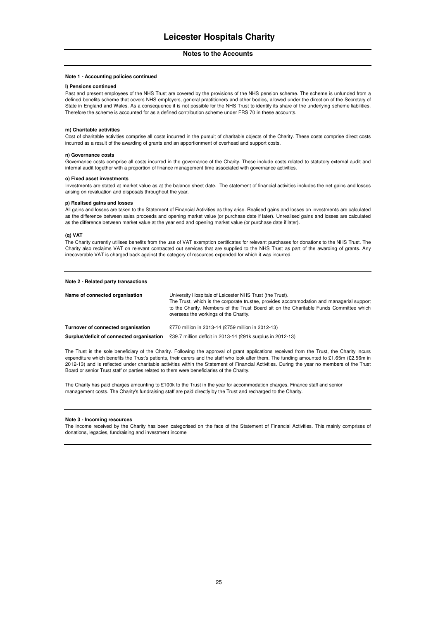#### **Note 1 - Accounting policies continued**

#### **l) Pensions continued**

Past and present employees of the NHS Trust are covered by the provisions of the NHS pension scheme. The scheme is unfunded from a defined benefits scheme that covers NHS employers, general practitioners and other bodies, allowed under the direction of the Secretary of State in England and Wales. As a consequence it is not possible for the NHS Trust to identify its share of the underlying scheme liabilities. Therefore the scheme is accounted for as a defined contribution scheme under FRS 70 in these accounts.

#### **m) Charitable activities**

Cost of charitable activities comprise all costs incurred in the pursuit of charitable objects of the Charity. These costs comprise direct costs incurred as a result of the awarding of grants and an apportionment of overhead and support costs.

#### **n) Governance costs**

Governance costs comprise all costs incurred in the governance of the Charity. These include costs related to statutory external audit and internal audit together with a proportion of finance management time associated with governance activities.

#### **o) Fixed asset investments**

Investments are stated at market value as at the balance sheet date. The statement of financial activities includes the net gains and losses arising on revaluation and disposals throughout the year.

#### **p) Realised gains and losses**

All gains and losses are taken to the Statement of Financial Activities as they arise. Realised gains and losses on investments are calculated as the difference between sales proceeds and opening market value (or purchase date if later). Unrealised gains and losses are calculated as the difference between market value at the year end and opening market value (or purchase date if later).

#### **(q) VAT**

The Charity currently utilises benefits from the use of VAT exemption certificates for relevant purchases for donations to the NHS Trust. The Charity also reclaims VAT on relevant contracted out services that are supplied to the NHS Trust as part of the awarding of grants. Any irrecoverable VAT is charged back against the category of resources expended for which it was incurred.

#### **Note 2 - Related party transactions**

| Name of connected organisation            | University Hospitals of Leicester NHS Trust (the Trust).<br>The Trust, which is the corporate trustee, provides accommodation and managerial support<br>to the Charity. Members of the Trust Board sit on the Charitable Funds Committee which<br>overseas the workings of the Charity. |
|-------------------------------------------|-----------------------------------------------------------------------------------------------------------------------------------------------------------------------------------------------------------------------------------------------------------------------------------------|
| Turnover of connected organisation        | £770 million in 2013-14 (£759 million in 2012-13)                                                                                                                                                                                                                                       |
| Surplus/deficit of connected organisation | £39.7 million defloit in 2013-14 (£91k surplus in 2012-13)                                                                                                                                                                                                                              |

The Trust is the sole beneficiary of the Charity. Following the approval of grant applications received from the Trust, the Charity incurs expenditure which benefits the Trust's patients, their carers and the staff who look after them. The funding amounted to £1.65m (£2.56m in 2012-13) and is reflected under charitable activities within the Statement of Financial Activities. During the year no members of the Trust Board or senior Trust staff or parties related to them were beneficiaries of the Charity.

The Charity has paid charges amounting to £100k to the Trust in the year for accommodation charges, Finance staff and senior management costs. The Charity's fundraising staff are paid directly by the Trust and recharged to the Charity.

#### **Note 3 - Incoming resources**

The income received by the Charity has been categorised on the face of the Statement of Financial Activities. This mainly comprises of donations, legacies, fundraising and investment income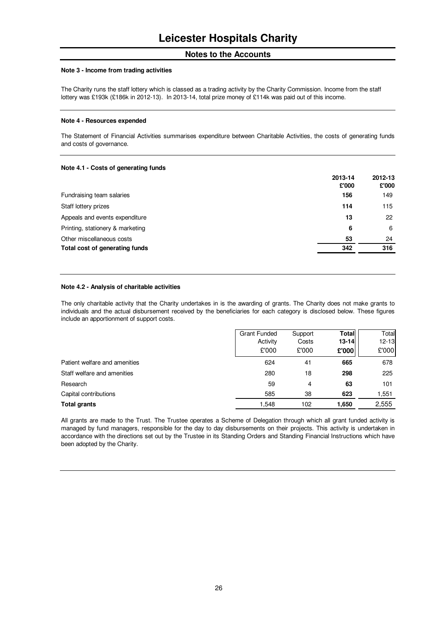#### **Note 3 - Income from trading activities**

The Charity runs the staff lottery which is classed as a trading activity by the Charity Commission. Income from the staff lottery was £193k (£186k in 2012-13). In 2013-14, total prize money of £114k was paid out of this income.

### **Note 4 - Resources expended**

The Statement of Financial Activities summarises expenditure between Charitable Activities, the costs of generating funds and costs of governance.

### **Note 4.1 - Costs of generating funds**

|                                  | 2013-14<br>£'000 | 2012-13<br>£'000 |
|----------------------------------|------------------|------------------|
|                                  | 156              | 149              |
| Fundraising team salaries        |                  |                  |
| Staff lottery prizes             | 114              | 115              |
| Appeals and events expenditure   | 13               | 22               |
| Printing, stationery & marketing | 6                | 6                |
| Other miscellaneous costs        | 53               | 24               |
| Total cost of generating funds   | 342              | 316              |
|                                  |                  |                  |

### **Note 4.2 - Analysis of charitable activities**

The only charitable activity that the Charity undertakes in is the awarding of grants. The Charity does not make grants to individuals and the actual disbursement received by the beneficiaries for each category is disclosed below. These figures include an apportionment of support costs.

|                               | <b>Grant Funded</b> | Support | Total     | Total     |
|-------------------------------|---------------------|---------|-----------|-----------|
|                               | Activity            | Costs   | $13 - 14$ | $12 - 13$ |
|                               | £'000               | £'000   | £'000     | £'000     |
| Patient welfare and amenities | 624                 | 41      | 665       | 678       |
| Staff welfare and amenities   | 280                 | 18      | 298       | 225       |
| Research                      | 59                  | 4       | 63        | 101       |
| Capital contributions         | 585                 | 38      | 623       | 1,551     |
| <b>Total grants</b>           | 1,548               | 102     | 1,650     | 2,555     |

All grants are made to the Trust. The Trustee operates a Scheme of Delegation through which all grant funded activity is managed by fund managers, responsible for the day to day disbursements on their projects. This activity is undertaken in accordance with the directions set out by the Trustee in its Standing Orders and Standing Financial Instructions which have been adopted by the Charity.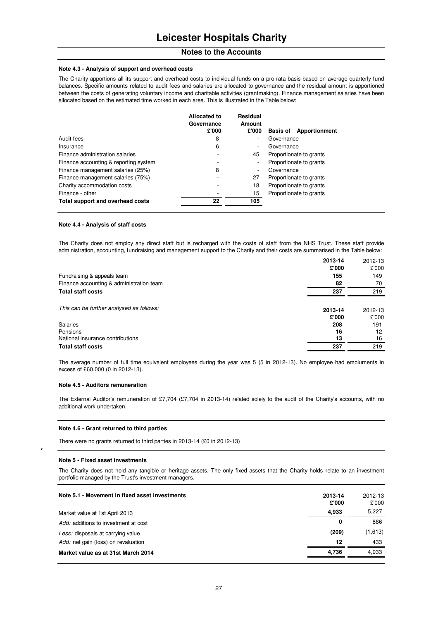#### **Note 4.3 - Analysis of support and overhead costs**

The Charity apportions all its support and overhead costs to individual funds on a pro rata basis based on average quarterly fund balances. Specific amounts related to audit fees and salaries are allocated to governance and the residual amount is apportioned between the costs of generating voluntary income and charitable activities (grantmaking). Finance management salaries have been allocated based on the estimated time worked in each area. This is illustrated in the Table below:

|                                       | Allocated to<br>Governance<br>£'000 | Residual<br>Amount<br>£'000 | <b>Basis of</b><br>Apportionment |
|---------------------------------------|-------------------------------------|-----------------------------|----------------------------------|
| Audit fees                            | 8                                   | $\overline{\phantom{a}}$    | Governance                       |
| Insurance                             | 6                                   | $\overline{\phantom{a}}$    | Governance                       |
| Finance administration salaries       |                                     | 45                          | Proportionate to grants          |
| Finance accounting & reporting system |                                     | $\overline{\phantom{a}}$    | Proportionate to grants          |
| Finance management salaries (25%)     | 8                                   | $\overline{\phantom{a}}$    | Governance                       |
| Finance management salaries (75%)     |                                     | 27                          | Proportionate to grants          |
| Charity accommodation costs           |                                     | 18                          | Proportionate to grants          |
| Finance - other                       |                                     | 15                          | Proportionate to grants          |
| Total support and overhead costs      | 22                                  | 105                         |                                  |

#### **Note 4.4 - Analysis of staff costs**

The Charity does not employ any direct staff but is recharged with the costs of staff from the NHS Trust. These staff provide administration, accounting, fundraising and management support to the Charity and their costs are summarised in the Table below:

|                                          | 2013-14 | 2012-13 |
|------------------------------------------|---------|---------|
|                                          | £'000   | £'000   |
| Fundraising & appeals team               | 155     | 149     |
| Finance accounting & administration team | 82      | 70      |
| <b>Total staff costs</b>                 | 237     | 219     |
| This can be further analysed as follows: | 2013-14 | 2012-13 |
|                                          | £'000   | £'000   |
| Salaries                                 | 208     | 191     |
| Pensions                                 | 16      | 12      |
| National insurance contributions         | 13      | 16      |
| <b>Total staff costs</b>                 | 237     | 219     |

The average number of full time equivalent employees during the year was 5 (5 in 2012-13). No employee had emoluments in excess of £60,000 (0 in 2012-13).

#### **Note 4.5 - Auditors remuneration**

The External Auditor's remuneration of £7,704 (£7,704 in 2013-14) related solely to the audit of the Charity's accounts, with no additional work undertaken.

#### **Note 4.6 - Grant returned to third parties**

There were no grants returned to third parties in 2013-14 (£0 in 2012-13)

#### **Note 5 - Fixed asset investments**

r

The Charity does not hold any tangible or heritage assets. The only fixed assets that the Charity holds relate to an investment portfolio managed by the Trust's investment managers.

| Note 5.1 - Movement in fixed asset investments<br>Market value at 1st April 2013 | 2013-14<br>£'000<br>4.933 | 2012-13<br>£'000<br>5,227 |
|----------------------------------------------------------------------------------|---------------------------|---------------------------|
| Add: additions to investment at cost                                             | 0                         | 886                       |
| Less: disposals at carrying value                                                | (209)                     | (1,613)                   |
| Add: net gain (loss) on revaluation                                              | 12                        | 433                       |
| Market value as at 31st March 2014                                               | 4.736                     | 4,933                     |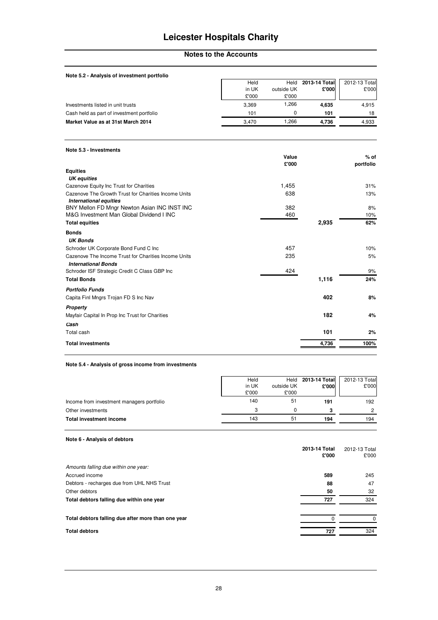# **Leicester Hospitals Charity**

### **Notes to the Accounts**

| Note 5.2 - Analysis of investment portfolio                                           |       |            |               |               |
|---------------------------------------------------------------------------------------|-------|------------|---------------|---------------|
|                                                                                       | Held  | Held       | 2013-14 Total | 2012-13 Total |
|                                                                                       | in UK | outside UK | £'000         | £'000         |
|                                                                                       | £'000 | £'000      |               |               |
| Investments listed in unit trusts                                                     | 3,369 | 1,266      | 4,635         | 4,915         |
| Cash held as part of investment portfolio                                             | 101   | 0          | 101           | 18            |
| Market Value as at 31st March 2014                                                    | 3,470 | 1,266      | 4,736         | 4,933         |
| Note 5.3 - Investments                                                                |       | Value      |               | $%$ of        |
|                                                                                       |       | £'000      |               | portfolio     |
| <b>Equities</b><br><b>UK</b> equities                                                 |       |            |               |               |
| Cazenove Equity Inc Trust for Charities                                               |       | 1,455      |               | 31%           |
| Cazenove The Growth Trust for Charities Income Units<br><b>International equities</b> |       | 638        |               | 13%           |
| BNY Mellon FD Mngr Newton Asian INC INST INC                                          |       | 382        |               | 8%            |
| M&G Investment Man Global Dividend I INC                                              |       | 460        |               | 10%           |
| <b>Total equities</b>                                                                 |       |            | 2,935         | 62%           |
| <b>Bonds</b>                                                                          |       |            |               |               |
| <b>UK Bonds</b>                                                                       |       |            |               |               |
| Schroder UK Corporate Bond Fund C Inc                                                 |       | 457        |               | 10%           |
| Cazenove The Income Trust for Charities Income Units                                  |       | 235        |               | 5%            |
| <b>International Bonds</b>                                                            |       |            |               |               |
| Schroder ISF Strategic Credit C Class GBP Inc                                         |       | 424        |               | 9%            |
| <b>Total Bonds</b>                                                                    |       |            | 1,116         | 24%           |
| <b>Portfolio Funds</b>                                                                |       |            |               |               |
| Capita Finl Mngrs Trojan FD S Inc Nav                                                 |       |            | 402           | 8%            |
| Property                                                                              |       |            |               |               |
| Mayfair Capital In Prop Inc Trust for Charities                                       |       |            | 182           | 4%            |
| Cash                                                                                  |       |            |               |               |
| Total cash                                                                            |       |            | 101           | 2%            |
| <b>Total investments</b>                                                              |       |            | 4,736         | 100%          |
|                                                                                       |       |            |               |               |

### **Note 5.4 - Analysis of gross income from investments**

| Held  | Held       | 2013-14 Total | 2012-13 Total |
|-------|------------|---------------|---------------|
| in UK | outside UK | £'000         | £'000         |
| £'000 | £'000      |               |               |
| 140   | 51         | 191           | 192           |
|       |            |               |               |
| 143   | 51         | 194           | 194           |
|       |            |               |               |

### **Note 6 - Analysis of debtors**

|                                                    | 2013-14 Total<br>£'000 | 2012-13 Total<br>£'000 |
|----------------------------------------------------|------------------------|------------------------|
| Amounts falling due within one year:               |                        |                        |
| Accrued income                                     | 589                    | 245                    |
| Debtors - recharges due from UHL NHS Trust         | 88                     | 47                     |
| Other debtors                                      | 50                     | 32                     |
| Total debtors falling due within one year          | 727                    | 324                    |
| Total debtors falling due after more than one year |                        |                        |
| <b>Total debtors</b>                               | 727                    | 324                    |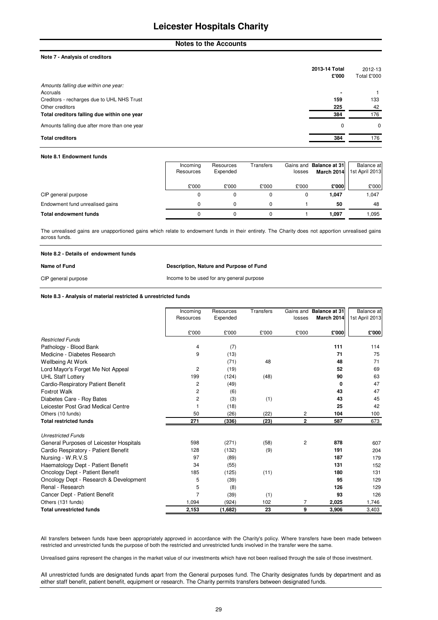### **Leicester Hospitals Charity**

### **Notes to the Accounts**

#### **Note 7 - Analysis of creditors**

|                                              | 2013-14 Total | 2012-13     |
|----------------------------------------------|---------------|-------------|
|                                              | £'000         | Total £'000 |
| Amounts falling due within one year:         |               |             |
| Accruals                                     |               |             |
| Creditors - recharges due to UHL NHS Trust   | 159           | 133         |
| Other creditors                              | 225           | 42          |
| Total creditors falling due within one year  | 384           | 176         |
| Amounts falling due after more than one year | 0             | 0           |
| <b>Total creditors</b>                       | 384           | 176         |

#### **Note 8.1 Endowment funds**

|                                 | Incoming  | Resources | Transfers |        | Gains and Balance at 31 | <b>Balance</b> at |
|---------------------------------|-----------|-----------|-----------|--------|-------------------------|-------------------|
|                                 | Resources | Expended  |           | losses | March 2014              | 1st April 2013    |
|                                 |           |           |           |        |                         |                   |
|                                 | £'000     | £'000     | £'000     | £'000  | £'000                   | £'000             |
| CIP general purpose             |           |           |           |        | 1.047                   | 1,047             |
| Endowment fund unrealised gains |           |           |           |        | 50                      | 48                |
| <b>Total endowment funds</b>    |           |           | 0         |        | 1.097                   | .095              |

The unrealised gains are unapportioned gains which relate to endowment funds in their entirety. The Charity does not apportion unrealised gains across funds.

| Note 8.2 - Details of endowment funds |                                           |
|---------------------------------------|-------------------------------------------|
| Name of Fund                          | Description, Nature and Purpose of Fund   |
| CIP general purpose                   | Income to be used for any general purpose |

**Note 8.3 - Analysis of material restricted & unrestricted funds**

|                                         | Incoming<br>Resources | Resources<br>Expended | Transfers |        | Gains and Balance at 31<br>March 2014 | Balance at<br>1st April 2013 |
|-----------------------------------------|-----------------------|-----------------------|-----------|--------|---------------------------------------|------------------------------|
|                                         |                       |                       |           | losses |                                       |                              |
|                                         | £'000                 | £'000                 | £'000     | £'000  | £'000                                 | £'000                        |
| <b>Restricted Funds</b>                 |                       |                       |           |        |                                       |                              |
| Pathology - Blood Bank                  | 4                     | (7)                   |           |        | 111                                   | 114                          |
| Medicine - Diabetes Research            | 9                     | (13)                  |           |        | 71                                    | 75                           |
| Wellbeing At Work                       |                       | (71)                  | 48        |        | 48                                    | 71                           |
| Lord Mayor's Forget Me Not Appeal       | $\overline{c}$        | (19)                  |           |        | 52                                    | 69                           |
| <b>UHL Staff Lottery</b>                | 199                   | (124)                 | (48)      |        | 90                                    | 63                           |
| Cardio-Respiratory Patient Benefit      | 2                     | (49)                  |           |        | 0                                     | 47                           |
| <b>Foxtrot Walk</b>                     | 2                     | (6)                   |           |        | 43                                    | 47                           |
| Diabetes Care - Roy Bates               | 2                     | (3)                   | (1)       |        | 43                                    | 45                           |
| Leicester Post Grad Medical Centre      | 1                     | (18)                  |           |        | 25                                    | 42                           |
| Others (10 funds)                       | 50                    | (26)                  | (22)      | 2      | 104                                   | 100                          |
| <b>Total restricted funds</b>           | 271                   | (336)                 | (23)      | 2      | 587                                   | 673                          |
| <b>Unrestricted Funds</b>               |                       |                       |           |        |                                       |                              |
| General Purposes of Leicester Hospitals | 598                   | (271)                 | (58)      | 2      | 878                                   | 607                          |
| Cardio Respiratory - Patient Benefit    | 128                   | (132)                 | (9)       |        | 191                                   | 204                          |
| Nursing - W.R.V.S                       | 97                    | (89)                  |           |        | 187                                   | 179                          |
| Haematology Dept - Patient Benefit      | 34                    | (55)                  |           |        | 131                                   | 152                          |
| Oncology Dept - Patient Benefit         | 185                   | (125)                 | (11)      |        | 180                                   | 131                          |
| Oncology Dept - Research & Development  | 5                     | (39)                  |           |        | 95                                    | 129                          |
| Renal - Research                        | 5                     | (8)                   |           |        | 126                                   | 129                          |
| Cancer Dept - Patient Benefit           | $\overline{7}$        | (39)                  | (1)       |        | 93                                    | 126                          |
| Others (131 funds)                      | 1,094                 | (924)                 | 102       | 7      | 2,025                                 | 1,746                        |
| <b>Total unrestricted funds</b>         | 2,153                 | (1,682)               | 23        | 9      | 3,906                                 | 3,403                        |

All transfers between funds have been appropriately approved in accordance with the Charity's policy. Where transfers have been made between restricted and unrestricted funds the purpose of both the restricted and unrestricted funds involved in the transfer were the same.

Unrealised gains represent the changes in the market value of our investments which have not been realised through the sale of those investment.

All unrestricted funds are designated funds apart from the General purposes fund. The Charity designates funds by department and as either staff benefit, patient benefit, equipment or research. The Charity permits transfers between designated funds.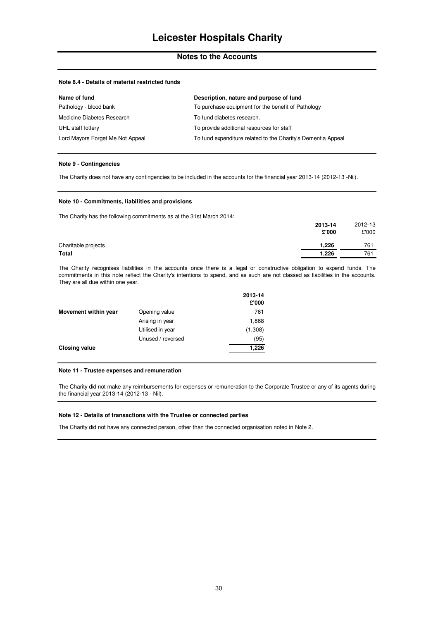#### **Note 8.4 - Details of material restricted funds**

| Name of fund                     | Description, nature and purpose of fund                      |
|----------------------------------|--------------------------------------------------------------|
| Pathology - blood bank           | To purchase equipment for the benefit of Pathology           |
| Medicine Diabetes Research       | To fund diabetes research.                                   |
| UHL staff lottery                | To provide additional resources for staff                    |
| Lord Mayors Forget Me Not Appeal | To fund expenditure related to the Charity's Dementia Appeal |

#### **Note 9 - Contingencies**

The Charity does not have any contingencies to be included in the accounts for the financial year 2013-14 (2012-13 -Nil).

#### **Note 10 - Commitments, liabilities and provisions**

The Charity has the following commitments as at the 31st March 2014:

|                     | 2013-14 | 2012-13 |
|---------------------|---------|---------|
|                     | £'000   | £'000   |
| Charitable projects | 1,226   | 761     |
| <b>Total</b>        | 1.226   | 761     |
|                     |         |         |

The Charity recognises liabilities in the accounts once there is a legal or constructive obligation to expend funds. The commitments in this note reflect the Charity's intentions to spend, and as such are not classed as liabilities in the accounts. They are all due within one year.

|                      |                   | 2013-14<br>£'000 |
|----------------------|-------------------|------------------|
| Movement within year | Opening value     | 761              |
|                      | Arising in year   | 1,868            |
|                      | Utilised in year  | (1,308)          |
|                      | Unused / reversed | (95)             |
| <b>Closing value</b> |                   | 1,226            |

#### **Note 11 - Trustee expenses and remuneration**

The Charity did not make any reimbursements for expenses or remuneration to the Corporate Trustee or any of its agents during the financial year 2013-14 (2012-13 - Nil).

#### **Note 12 - Details of transactions with the Trustee or connected parties**

The Charity did not have any connected person, other than the connected organisation noted in Note 2.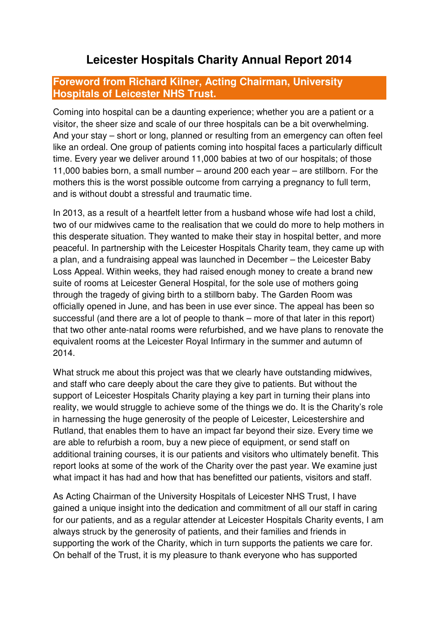# **Leicester Hospitals Charity Annual Report 2014**

### **Foreword from Richard Kilner, Acting Chairman, University Hospitals of Leicester NHS Trust.**

Coming into hospital can be a daunting experience; whether you are a patient or a visitor, the sheer size and scale of our three hospitals can be a bit overwhelming. And your stay – short or long, planned or resulting from an emergency can often feel like an ordeal. One group of patients coming into hospital faces a particularly difficult time. Every year we deliver around 11,000 babies at two of our hospitals; of those 11,000 babies born, a small number – around 200 each year – are stillborn. For the mothers this is the worst possible outcome from carrying a pregnancy to full term, and is without doubt a stressful and traumatic time.

In 2013, as a result of a heartfelt letter from a husband whose wife had lost a child, two of our midwives came to the realisation that we could do more to help mothers in this desperate situation. They wanted to make their stay in hospital better, and more peaceful. In partnership with the Leicester Hospitals Charity team, they came up with a plan, and a fundraising appeal was launched in December – the Leicester Baby Loss Appeal. Within weeks, they had raised enough money to create a brand new suite of rooms at Leicester General Hospital, for the sole use of mothers going through the tragedy of giving birth to a stillborn baby. The Garden Room was officially opened in June, and has been in use ever since. The appeal has been so successful (and there are a lot of people to thank – more of that later in this report) that two other ante-natal rooms were refurbished, and we have plans to renovate the equivalent rooms at the Leicester Royal Infirmary in the summer and autumn of 2014.

What struck me about this project was that we clearly have outstanding midwives, and staff who care deeply about the care they give to patients. But without the support of Leicester Hospitals Charity playing a key part in turning their plans into reality, we would struggle to achieve some of the things we do. It is the Charity's role in harnessing the huge generosity of the people of Leicester, Leicestershire and Rutland, that enables them to have an impact far beyond their size. Every time we are able to refurbish a room, buy a new piece of equipment, or send staff on additional training courses, it is our patients and visitors who ultimately benefit. This report looks at some of the work of the Charity over the past year. We examine just what impact it has had and how that has benefitted our patients, visitors and staff.

As Acting Chairman of the University Hospitals of Leicester NHS Trust, I have gained a unique insight into the dedication and commitment of all our staff in caring for our patients, and as a regular attender at Leicester Hospitals Charity events, I am always struck by the generosity of patients, and their families and friends in supporting the work of the Charity, which in turn supports the patients we care for. On behalf of the Trust, it is my pleasure to thank everyone who has supported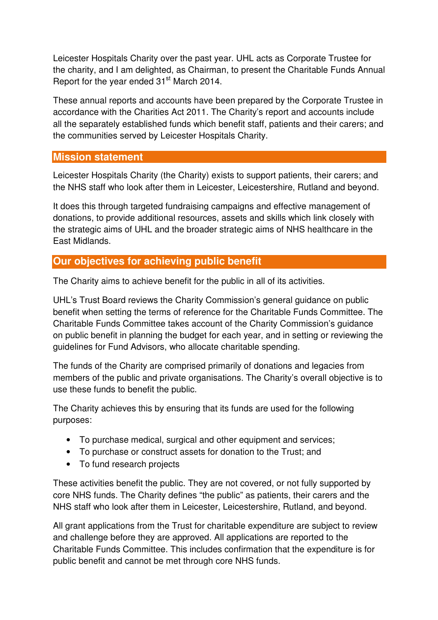Leicester Hospitals Charity over the past year. UHL acts as Corporate Trustee for the charity, and I am delighted, as Chairman, to present the Charitable Funds Annual Report for the year ended 31<sup>st</sup> March 2014.

These annual reports and accounts have been prepared by the Corporate Trustee in accordance with the Charities Act 2011. The Charity's report and accounts include all the separately established funds which benefit staff, patients and their carers; and the communities served by Leicester Hospitals Charity.

### **Mission statement**

Leicester Hospitals Charity (the Charity) exists to support patients, their carers; and the NHS staff who look after them in Leicester, Leicestershire, Rutland and beyond.

It does this through targeted fundraising campaigns and effective management of donations, to provide additional resources, assets and skills which link closely with the strategic aims of UHL and the broader strategic aims of NHS healthcare in the East Midlands.

# **Our objectives for achieving public benefit**

The Charity aims to achieve benefit for the public in all of its activities.

UHL's Trust Board reviews the Charity Commission's general guidance on public benefit when setting the terms of reference for the Charitable Funds Committee. The Charitable Funds Committee takes account of the Charity Commission's guidance on public benefit in planning the budget for each year, and in setting or reviewing the guidelines for Fund Advisors, who allocate charitable spending.

The funds of the Charity are comprised primarily of donations and legacies from members of the public and private organisations. The Charity's overall objective is to use these funds to benefit the public.

The Charity achieves this by ensuring that its funds are used for the following purposes:

- To purchase medical, surgical and other equipment and services;
- To purchase or construct assets for donation to the Trust; and
- To fund research projects

These activities benefit the public. They are not covered, or not fully supported by core NHS funds. The Charity defines "the public" as patients, their carers and the NHS staff who look after them in Leicester, Leicestershire, Rutland, and beyond.

All grant applications from the Trust for charitable expenditure are subject to review and challenge before they are approved. All applications are reported to the Charitable Funds Committee. This includes confirmation that the expenditure is for public benefit and cannot be met through core NHS funds.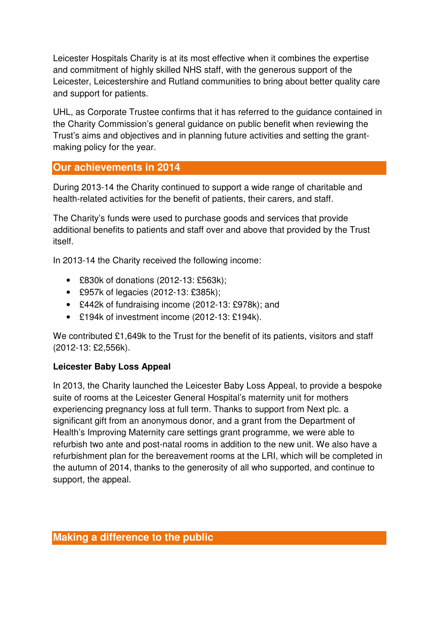Leicester Hospitals Charity is at its most effective when it combines the expertise and commitment of highly skilled NHS staff, with the generous support of the Leicester, Leicestershire and Rutland communities to bring about better quality care and support for patients.

UHL, as Corporate Trustee confirms that it has referred to the guidance contained in the Charity Commission's general guidance on public benefit when reviewing the Trust's aims and objectives and in planning future activities and setting the grantmaking policy for the year.

## **Our achievements in 2014**

During 2013-14 the Charity continued to support a wide range of charitable and health-related activities for the benefit of patients, their carers, and staff.

The Charity's funds were used to purchase goods and services that provide additional benefits to patients and staff over and above that provided by the Trust itself.

In 2013-14 the Charity received the following income:

- £830k of donations (2012-13: £563k);
- £957k of legacies (2012-13: £385k);
- £442k of fundraising income (2012-13: £978k); and
- £194k of investment income (2012-13: £194k).

We contributed £1,649k to the Trust for the benefit of its patients, visitors and staff (2012-13: £2,556k).

### **Leicester Baby Loss Appeal**

In 2013, the Charity launched the Leicester Baby Loss Appeal, to provide a bespoke suite of rooms at the Leicester General Hospital's maternity unit for mothers experiencing pregnancy loss at full term. Thanks to support from Next plc. a significant gift from an anonymous donor, and a grant from the Department of Health's Improving Maternity care settings grant programme, we were able to refurbish two ante and post-natal rooms in addition to the new unit. We also have a refurbishment plan for the bereavement rooms at the LRI, which will be completed in the autumn of 2014, thanks to the generosity of all who supported, and continue to support, the appeal.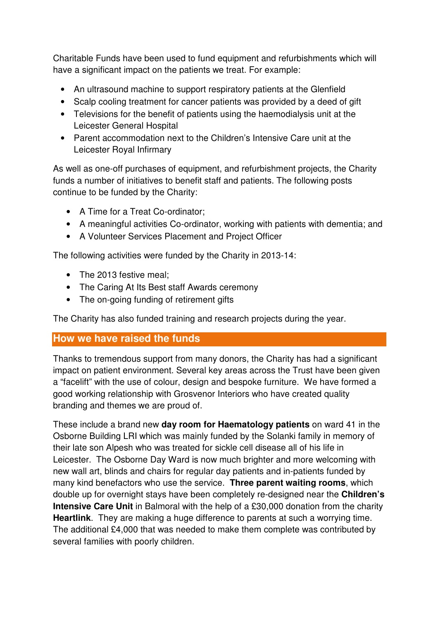Charitable Funds have been used to fund equipment and refurbishments which will have a significant impact on the patients we treat. For example:

- An ultrasound machine to support respiratory patients at the Glenfield
- Scalp cooling treatment for cancer patients was provided by a deed of gift
- Televisions for the benefit of patients using the haemodialysis unit at the Leicester General Hospital
- Parent accommodation next to the Children's Intensive Care unit at the Leicester Royal Infirmary

As well as one-off purchases of equipment, and refurbishment projects, the Charity funds a number of initiatives to benefit staff and patients. The following posts continue to be funded by the Charity:

- A Time for a Treat Co-ordinator;
- A meaningful activities Co-ordinator, working with patients with dementia; and
- A Volunteer Services Placement and Project Officer

The following activities were funded by the Charity in 2013-14:

- The 2013 festive meal;
- The Caring At Its Best staff Awards ceremony
- The on-going funding of retirement gifts

The Charity has also funded training and research projects during the year.

### **How we have raised the funds**

Thanks to tremendous support from many donors, the Charity has had a significant impact on patient environment. Several key areas across the Trust have been given a "facelift" with the use of colour, design and bespoke furniture. We have formed a good working relationship with Grosvenor Interiors who have created quality branding and themes we are proud of.

These include a brand new **day room for Haematology patients** on ward 41 in the Osborne Building LRI which was mainly funded by the Solanki family in memory of their late son Alpesh who was treated for sickle cell disease all of his life in Leicester. The Osborne Day Ward is now much brighter and more welcoming with new wall art, blinds and chairs for regular day patients and in-patients funded by many kind benefactors who use the service. **Three parent waiting rooms**, which double up for overnight stays have been completely re-designed near the **Children's Intensive Care Unit** in Balmoral with the help of a £30,000 donation from the charity **Heartlink**. They are making a huge difference to parents at such a worrying time. The additional £4,000 that was needed to make them complete was contributed by several families with poorly children.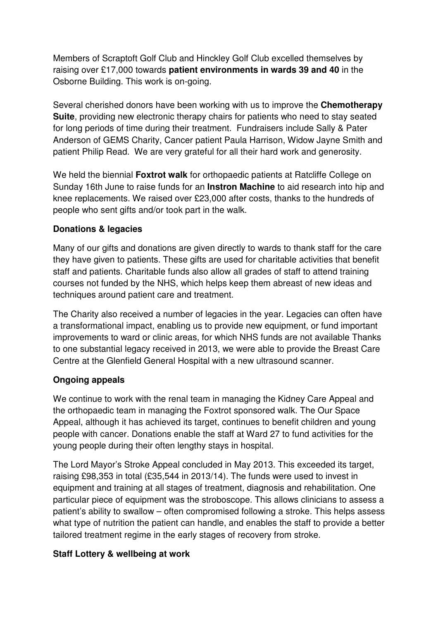Members of Scraptoft Golf Club and Hinckley Golf Club excelled themselves by raising over £17,000 towards **patient environments in wards 39 and 40** in the Osborne Building. This work is on-going.

Several cherished donors have been working with us to improve the **Chemotherapy Suite**, providing new electronic therapy chairs for patients who need to stay seated for long periods of time during their treatment. Fundraisers include Sally & Pater Anderson of GEMS Charity, Cancer patient Paula Harrison, Widow Jayne Smith and patient Philip Read. We are very grateful for all their hard work and generosity.

We held the biennial **Foxtrot walk** for orthopaedic patients at Ratcliffe College on Sunday 16th June to raise funds for an **Instron Machine** to aid research into hip and knee replacements. We raised over £23,000 after costs, thanks to the hundreds of people who sent gifts and/or took part in the walk.

### **Donations & legacies**

Many of our gifts and donations are given directly to wards to thank staff for the care they have given to patients. These gifts are used for charitable activities that benefit staff and patients. Charitable funds also allow all grades of staff to attend training courses not funded by the NHS, which helps keep them abreast of new ideas and techniques around patient care and treatment.

The Charity also received a number of legacies in the year. Legacies can often have a transformational impact, enabling us to provide new equipment, or fund important improvements to ward or clinic areas, for which NHS funds are not available Thanks to one substantial legacy received in 2013, we were able to provide the Breast Care Centre at the Glenfield General Hospital with a new ultrasound scanner.

### **Ongoing appeals**

We continue to work with the renal team in managing the Kidney Care Appeal and the orthopaedic team in managing the Foxtrot sponsored walk. The Our Space Appeal, although it has achieved its target, continues to benefit children and young people with cancer. Donations enable the staff at Ward 27 to fund activities for the young people during their often lengthy stays in hospital.

The Lord Mayor's Stroke Appeal concluded in May 2013. This exceeded its target, raising £98,353 in total (£35,544 in 2013/14). The funds were used to invest in equipment and training at all stages of treatment, diagnosis and rehabilitation. One particular piece of equipment was the stroboscope. This allows clinicians to assess a patient's ability to swallow – often compromised following a stroke. This helps assess what type of nutrition the patient can handle, and enables the staff to provide a better tailored treatment regime in the early stages of recovery from stroke.

### **Staff Lottery & wellbeing at work**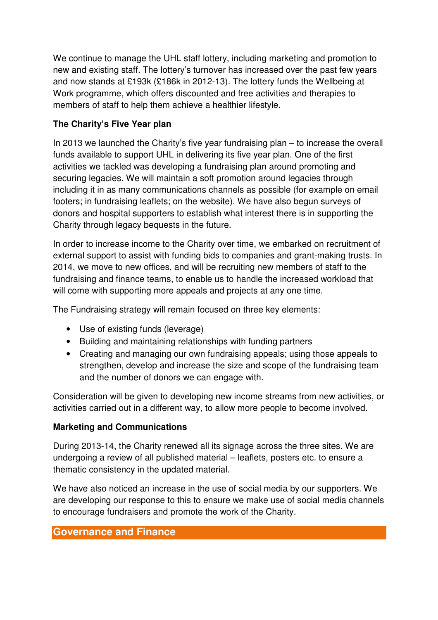We continue to manage the UHL staff lottery, including marketing and promotion to new and existing staff. The lottery's turnover has increased over the past few years and now stands at £193k (£186k in 2012-13). The lottery funds the Wellbeing at Work programme, which offers discounted and free activities and therapies to members of staff to help them achieve a healthier lifestyle.

### **The Charity's Five Year plan**

In 2013 we launched the Charity's five year fundraising plan – to increase the overall funds available to support UHL in delivering its five year plan. One of the first activities we tackled was developing a fundraising plan around promoting and securing legacies. We will maintain a soft promotion around legacies through including it in as many communications channels as possible (for example on email footers; in fundraising leaflets; on the website). We have also begun surveys of donors and hospital supporters to establish what interest there is in supporting the Charity through legacy bequests in the future.

In order to increase income to the Charity over time, we embarked on recruitment of external support to assist with funding bids to companies and grant-making trusts. In 2014, we move to new offices, and will be recruiting new members of staff to the fundraising and finance teams, to enable us to handle the increased workload that will come with supporting more appeals and projects at any one time.

The Fundraising strategy will remain focused on three key elements:

- Use of existing funds (leverage)
- Building and maintaining relationships with funding partners
- Creating and managing our own fundraising appeals; using those appeals to strengthen, develop and increase the size and scope of the fundraising team and the number of donors we can engage with.

Consideration will be given to developing new income streams from new activities, or activities carried out in a different way, to allow more people to become involved.

### **Marketing and Communications**

During 2013-14, the Charity renewed all its signage across the three sites. We are undergoing a review of all published material – leaflets, posters etc. to ensure a thematic consistency in the updated material.

We have also noticed an increase in the use of social media by our supporters. We are developing our response to this to ensure we make use of social media channels to encourage fundraisers and promote the work of the Charity.

### **Governance and Finance**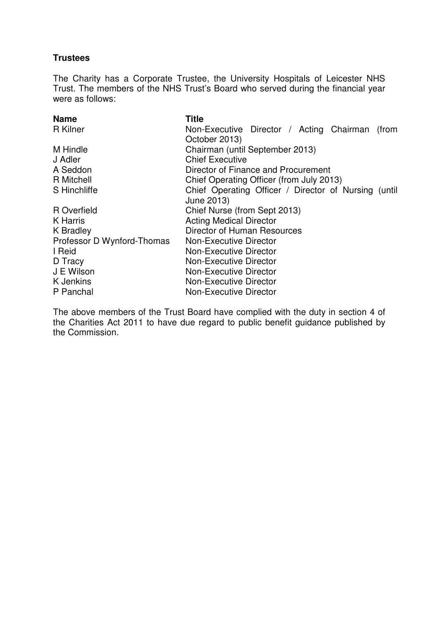### **Trustees**

The Charity has a Corporate Trustee, the University Hospitals of Leicester NHS Trust. The members of the NHS Trust's Board who served during the financial year were as follows:

| <b>Title</b>                                         |
|------------------------------------------------------|
| Non-Executive Director / Acting Chairman<br>(from    |
| October 2013)                                        |
| Chairman (until September 2013)                      |
| <b>Chief Executive</b>                               |
| Director of Finance and Procurement                  |
| Chief Operating Officer (from July 2013)             |
| Chief Operating Officer / Director of Nursing (until |
| June 2013)                                           |
| Chief Nurse (from Sept 2013)                         |
| <b>Acting Medical Director</b>                       |
| Director of Human Resources                          |
| Non-Executive Director                               |
| <b>Non-Executive Director</b>                        |
| <b>Non-Executive Director</b>                        |
| <b>Non-Executive Director</b>                        |
| <b>Non-Executive Director</b>                        |
| <b>Non-Executive Director</b>                        |
|                                                      |

The above members of the Trust Board have complied with the duty in section 4 of the Charities Act 2011 to have due regard to public benefit guidance published by the Commission.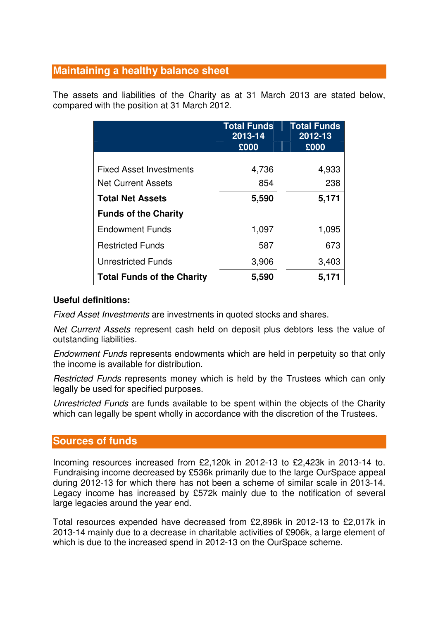# **Maintaining a healthy balance sheet**

The assets and liabilities of the Charity as at 31 March 2013 are stated below, compared with the position at 31 March 2012.

|                                   | <b>Total Funds</b><br>2013-14 | <b>Total Funds</b><br>2012-13 |
|-----------------------------------|-------------------------------|-------------------------------|
|                                   | £000                          | £000                          |
|                                   |                               |                               |
| <b>Fixed Asset Investments</b>    | 4,736                         | 4,933                         |
| <b>Net Current Assets</b>         | 854                           | 238                           |
| <b>Total Net Assets</b>           | 5,590                         | 5,171                         |
| <b>Funds of the Charity</b>       |                               |                               |
| <b>Endowment Funds</b>            | 1,097                         | 1,095                         |
| <b>Restricted Funds</b>           | 587                           | 673                           |
| <b>Unrestricted Funds</b>         | 3,906                         | 3,403                         |
| <b>Total Funds of the Charity</b> | 5,590                         | 5,171                         |

### **Useful definitions:**

Fixed Asset Investments are investments in quoted stocks and shares.

Net Current Assets represent cash held on deposit plus debtors less the value of outstanding liabilities.

Endowment Funds represents endowments which are held in perpetuity so that only the income is available for distribution.

Restricted Funds represents money which is held by the Trustees which can only legally be used for specified purposes.

Unrestricted Funds are funds available to be spent within the objects of the Charity which can legally be spent wholly in accordance with the discretion of the Trustees.

### **Sources of funds**

Incoming resources increased from £2,120k in 2012-13 to £2,423k in 2013-14 to. Fundraising income decreased by £536k primarily due to the large OurSpace appeal during 2012-13 for which there has not been a scheme of similar scale in 2013-14. Legacy income has increased by £572k mainly due to the notification of several large legacies around the year end.

Total resources expended have decreased from £2,896k in 2012-13 to £2,017k in 2013-14 mainly due to a decrease in charitable activities of £906k, a large element of which is due to the increased spend in 2012-13 on the OurSpace scheme.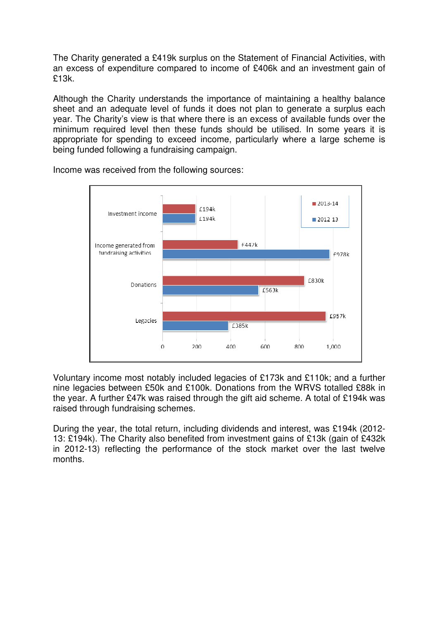The Charity generated a £419k surplus on the Statement of Financial Activities, with an excess of expenditure compared to income of £406k and an investment gain of £13k.

Although the Charity understands the importance of maintaining a healthy balance sheet and an adequate level of funds it does not plan to generate a surplus each year. The Charity's view is that where there is an excess of available funds over the minimum required level then these funds should be utilised. In some years it is appropriate for spending to exceed income, particularly where a large scheme is being funded following a fundraising campaign.



Income was received from the following sources:

Voluntary income most notably included legacies of £173k and £110k; and a further nine legacies between £50k and £100k. Donations from the WRVS totalled £88k in the year. A further £47k was raised through the gift aid scheme. A total of £194k was raised through fundraising schemes.

During the year, the total return, including dividends and interest, was £194k (2012- 13: £194k). The Charity also benefited from investment gains of £13k (gain of £432k in 2012-13) reflecting the performance of the stock market over the last twelve months.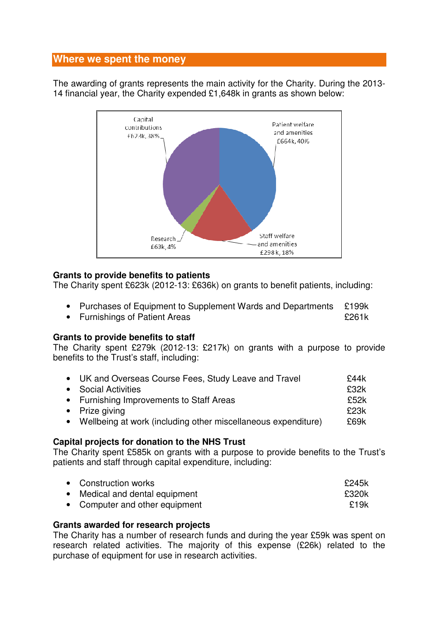### **Where we spent the money**

The awarding of grants represents the main activity for the Charity. During the 2013- 14 financial year, the Charity expended £1,648k in grants as shown below:



### **Grants to provide benefits to patients**

The Charity spent £623k (2012-13: £636k) on grants to benefit patients, including:

- Purchases of Equipment to Supplement Wards and Departments £199k
- Furnishings of Patient Areas **EXALL EXALL 2018**

### **Grants to provide benefits to staff**

The Charity spent £279k (2012-13: £217k) on grants with a purpose to provide benefits to the Trust's staff, including:

| • UK and Overseas Course Fees, Study Leave and Travel           | £44k |
|-----------------------------------------------------------------|------|
| • Social Activities                                             | £32k |
| • Furnishing Improvements to Staff Areas                        | £52k |
| • Prize giving                                                  | £23k |
| • Wellbeing at work (including other miscellaneous expenditure) | £69k |

### **Capital projects for donation to the NHS Trust**

The Charity spent £585k on grants with a purpose to provide benefits to the Trust's patients and staff through capital expenditure, including:

| • Construction works           | £245k |
|--------------------------------|-------|
| • Medical and dental equipment | £320k |
| • Computer and other equipment | £19k  |

### **Grants awarded for research projects**

The Charity has a number of research funds and during the year £59k was spent on research related activities. The majority of this expense (£26k) related to the purchase of equipment for use in research activities.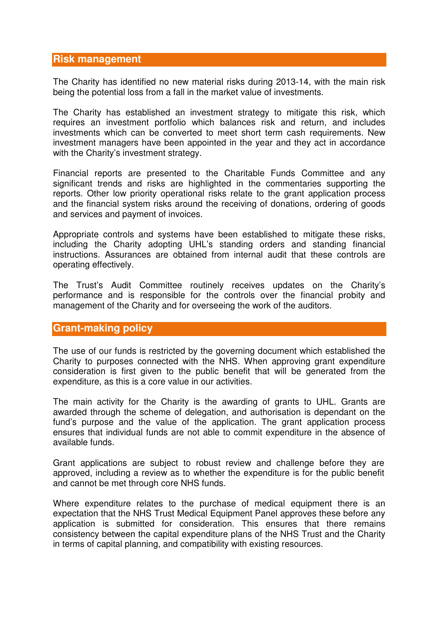### **Risk management**

The Charity has identified no new material risks during 2013-14, with the main risk being the potential loss from a fall in the market value of investments.

The Charity has established an investment strategy to mitigate this risk, which requires an investment portfolio which balances risk and return, and includes investments which can be converted to meet short term cash requirements. New investment managers have been appointed in the year and they act in accordance with the Charity's investment strategy.

Financial reports are presented to the Charitable Funds Committee and any significant trends and risks are highlighted in the commentaries supporting the reports. Other low priority operational risks relate to the grant application process and the financial system risks around the receiving of donations, ordering of goods and services and payment of invoices.

Appropriate controls and systems have been established to mitigate these risks, including the Charity adopting UHL's standing orders and standing financial instructions. Assurances are obtained from internal audit that these controls are operating effectively.

The Trust's Audit Committee routinely receives updates on the Charity's performance and is responsible for the controls over the financial probity and management of the Charity and for overseeing the work of the auditors.

### **Grant-making policy**

The use of our funds is restricted by the governing document which established the Charity to purposes connected with the NHS. When approving grant expenditure consideration is first given to the public benefit that will be generated from the expenditure, as this is a core value in our activities.

The main activity for the Charity is the awarding of grants to UHL. Grants are awarded through the scheme of delegation, and authorisation is dependant on the fund's purpose and the value of the application. The grant application process ensures that individual funds are not able to commit expenditure in the absence of available funds.

Grant applications are subject to robust review and challenge before they are approved, including a review as to whether the expenditure is for the public benefit and cannot be met through core NHS funds.

Where expenditure relates to the purchase of medical equipment there is an expectation that the NHS Trust Medical Equipment Panel approves these before any application is submitted for consideration. This ensures that there remains consistency between the capital expenditure plans of the NHS Trust and the Charity in terms of capital planning, and compatibility with existing resources.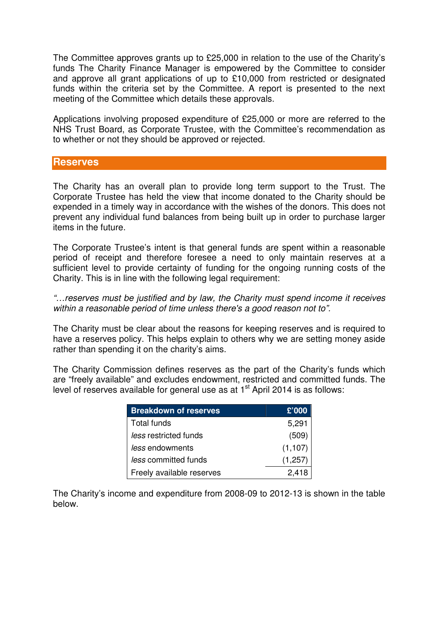The Committee approves grants up to £25,000 in relation to the use of the Charity's funds The Charity Finance Manager is empowered by the Committee to consider and approve all grant applications of up to £10,000 from restricted or designated funds within the criteria set by the Committee. A report is presented to the next meeting of the Committee which details these approvals.

Applications involving proposed expenditure of £25,000 or more are referred to the NHS Trust Board, as Corporate Trustee, with the Committee's recommendation as to whether or not they should be approved or rejected.

### **Reserves**

The Charity has an overall plan to provide long term support to the Trust. The Corporate Trustee has held the view that income donated to the Charity should be expended in a timely way in accordance with the wishes of the donors. This does not prevent any individual fund balances from being built up in order to purchase larger items in the future.

The Corporate Trustee's intent is that general funds are spent within a reasonable period of receipt and therefore foresee a need to only maintain reserves at a sufficient level to provide certainty of funding for the ongoing running costs of the Charity. This is in line with the following legal requirement:

"…reserves must be justified and by law, the Charity must spend income it receives within a reasonable period of time unless there's a good reason not to".

The Charity must be clear about the reasons for keeping reserves and is required to have a reserves policy. This helps explain to others why we are setting money aside rather than spending it on the charity's aims.

The Charity Commission defines reserves as the part of the Charity's funds which are "freely available" and excludes endowment, restricted and committed funds. The level of reserves available for general use as at  $1<sup>st</sup>$  April 2014 is as follows:

| <b>Breakdown of reserves</b> | £'000    |
|------------------------------|----------|
| Total funds                  | 5,291    |
| less restricted funds        | (509)    |
| less endowments              | (1, 107) |
| less committed funds         | (1,257)  |
| Freely available reserves    | 2,418    |

The Charity's income and expenditure from 2008-09 to 2012-13 is shown in the table below.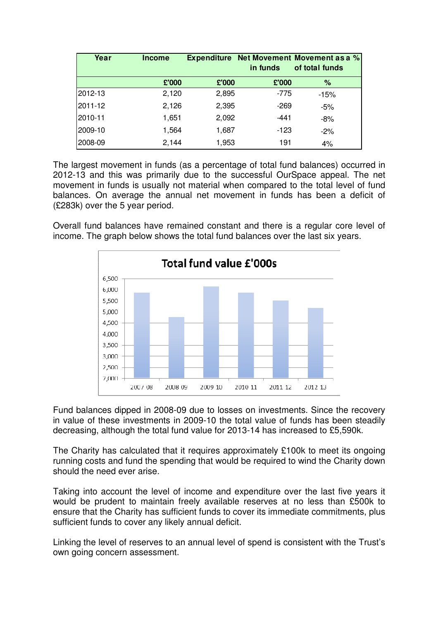| Year    | <b>Income</b> | <b>Expenditure</b> | in funds | Net Movement Movement as a %<br>of total funds |
|---------|---------------|--------------------|----------|------------------------------------------------|
|         | £'000         | £'000              | £'000    | %                                              |
| 2012-13 | 2,120         | 2,895              | $-775$   | $-15%$                                         |
| 2011-12 | 2,126         | 2,395              | $-269$   | $-5%$                                          |
| 2010-11 | 1,651         | 2,092              | $-441$   | -8%                                            |
| 2009-10 | 1,564         | 1,687              | $-123$   | $-2\%$                                         |
| 2008-09 | 2,144         | 1,953              | 191      | 4%                                             |

The largest movement in funds (as a percentage of total fund balances) occurred in 2012-13 and this was primarily due to the successful OurSpace appeal. The net movement in funds is usually not material when compared to the total level of fund balances. On average the annual net movement in funds has been a deficit of (£283k) over the 5 year period.

Overall fund balances have remained constant and there is a regular core level of income. The graph below shows the total fund balances over the last six years.



Fund balances dipped in 2008-09 due to losses on investments. Since the recovery in value of these investments in 2009-10 the total value of funds has been steadily decreasing, although the total fund value for 2013-14 has increased to £5,590k.

The Charity has calculated that it requires approximately £100k to meet its ongoing running costs and fund the spending that would be required to wind the Charity down should the need ever arise.

Taking into account the level of income and expenditure over the last five years it would be prudent to maintain freely available reserves at no less than £500k to ensure that the Charity has sufficient funds to cover its immediate commitments, plus sufficient funds to cover any likely annual deficit.

Linking the level of reserves to an annual level of spend is consistent with the Trust's own going concern assessment.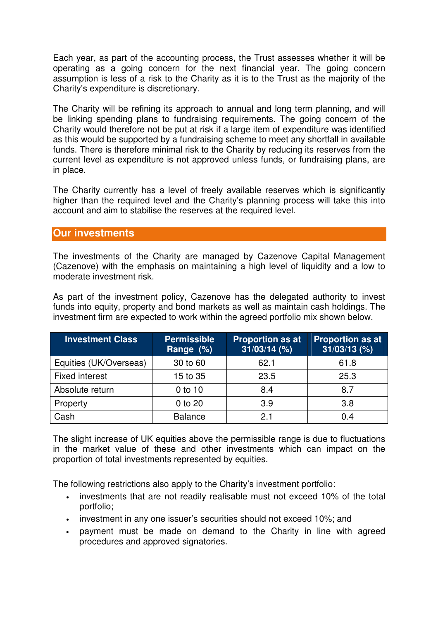Each year, as part of the accounting process, the Trust assesses whether it will be operating as a going concern for the next financial year. The going concern assumption is less of a risk to the Charity as it is to the Trust as the majority of the Charity's expenditure is discretionary.

The Charity will be refining its approach to annual and long term planning, and will be linking spending plans to fundraising requirements. The going concern of the Charity would therefore not be put at risk if a large item of expenditure was identified as this would be supported by a fundraising scheme to meet any shortfall in available funds. There is therefore minimal risk to the Charity by reducing its reserves from the current level as expenditure is not approved unless funds, or fundraising plans, are in place.

The Charity currently has a level of freely available reserves which is significantly higher than the required level and the Charity's planning process will take this into account and aim to stabilise the reserves at the required level.

### **Our investments**

The investments of the Charity are managed by Cazenove Capital Management (Cazenove) with the emphasis on maintaining a high level of liquidity and a low to moderate investment risk.

As part of the investment policy, Cazenove has the delegated authority to invest funds into equity, property and bond markets as well as maintain cash holdings. The investment firm are expected to work within the agreed portfolio mix shown below.

| <b>Investment Class</b> | <b>Permissible</b><br>Range (%) | <b>Proportion as at</b><br>$31/03/14$ (%) | <b>Proportion as at</b><br>$31/03/13$ (%) |
|-------------------------|---------------------------------|-------------------------------------------|-------------------------------------------|
| Equities (UK/Overseas)  | 30 to 60                        | 62.1                                      | 61.8                                      |
| <b>Fixed interest</b>   | 15 to 35                        | 23.5                                      | 25.3                                      |
| Absolute return         | $0$ to 10                       | 8.4                                       | 8.7                                       |
| Property                | 0 to 20                         | 3.9                                       | 3.8                                       |
| Cash                    | <b>Balance</b>                  | 21                                        | 0.4                                       |

The slight increase of UK equities above the permissible range is due to fluctuations in the market value of these and other investments which can impact on the proportion of total investments represented by equities.

The following restrictions also apply to the Charity's investment portfolio:

- investments that are not readily realisable must not exceed 10% of the total portfolio;
- investment in any one issuer's securities should not exceed 10%; and
- payment must be made on demand to the Charity in line with agreed procedures and approved signatories.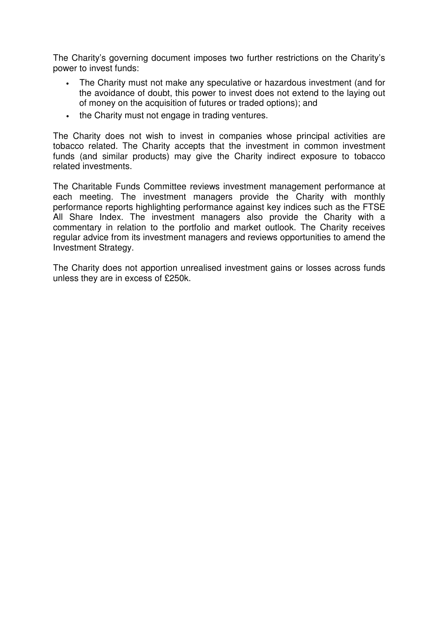The Charity's governing document imposes two further restrictions on the Charity's power to invest funds:

- The Charity must not make any speculative or hazardous investment (and for the avoidance of doubt, this power to invest does not extend to the laying out of money on the acquisition of futures or traded options); and
- the Charity must not engage in trading ventures.

The Charity does not wish to invest in companies whose principal activities are tobacco related. The Charity accepts that the investment in common investment funds (and similar products) may give the Charity indirect exposure to tobacco related investments.

The Charitable Funds Committee reviews investment management performance at each meeting. The investment managers provide the Charity with monthly performance reports highlighting performance against key indices such as the FTSE All Share Index. The investment managers also provide the Charity with a commentary in relation to the portfolio and market outlook. The Charity receives regular advice from its investment managers and reviews opportunities to amend the Investment Strategy.

The Charity does not apportion unrealised investment gains or losses across funds unless they are in excess of £250k.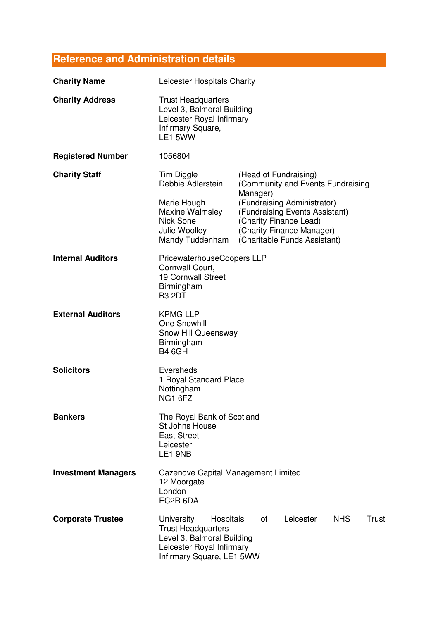# **Reference and Administration details**

| <b>Charity Name</b>        | Leicester Hospitals Charity                                                                                                                                                            |                                                                                                                                                                  |                                   |  |  |
|----------------------------|----------------------------------------------------------------------------------------------------------------------------------------------------------------------------------------|------------------------------------------------------------------------------------------------------------------------------------------------------------------|-----------------------------------|--|--|
| <b>Charity Address</b>     | <b>Trust Headquarters</b><br>Level 3, Balmoral Building<br>Leicester Royal Infirmary<br>Infirmary Square,<br>LE1 5WW                                                                   |                                                                                                                                                                  |                                   |  |  |
| <b>Registered Number</b>   | 1056804                                                                                                                                                                                |                                                                                                                                                                  |                                   |  |  |
| <b>Charity Staff</b>       | Tim Diggle<br>Debbie Adlerstein                                                                                                                                                        | (Head of Fundraising)                                                                                                                                            | (Community and Events Fundraising |  |  |
|                            | Marie Hough<br>Maxine Walmsley<br><b>Nick Sone</b><br>Julie Woolley<br>Mandy Tuddenham                                                                                                 | Manager)<br>(Fundraising Administrator)<br>(Fundraising Events Assistant)<br>(Charity Finance Lead)<br>(Charity Finance Manager)<br>(Charitable Funds Assistant) |                                   |  |  |
| <b>Internal Auditors</b>   | PricewaterhouseCoopers LLP<br>Cornwall Court,<br><b>19 Cornwall Street</b><br>Birmingham<br><b>B3 2DT</b>                                                                              |                                                                                                                                                                  |                                   |  |  |
| <b>External Auditors</b>   | <b>KPMG LLP</b><br>One Snowhill<br>Snow Hill Queensway<br>Birmingham<br><b>B4 6GH</b>                                                                                                  |                                                                                                                                                                  |                                   |  |  |
| <b>Solicitors</b>          | Eversheds<br>1 Royal Standard Place<br>Nottingham<br>NG1 6FZ                                                                                                                           |                                                                                                                                                                  |                                   |  |  |
| <b>Bankers</b>             | The Royal Bank of Scotland<br>St Johns House<br><b>East Street</b><br>Leicester<br>LE1 9NB                                                                                             |                                                                                                                                                                  |                                   |  |  |
| <b>Investment Managers</b> | <b>Cazenove Capital Management Limited</b><br>12 Moorgate<br>London<br>EC2R 6DA                                                                                                        |                                                                                                                                                                  |                                   |  |  |
| <b>Corporate Trustee</b>   | <b>NHS</b><br>University<br>οf<br>Leicester<br>Trust<br>Hospitals<br><b>Trust Headquarters</b><br>Level 3, Balmoral Building<br>Leicester Royal Infirmary<br>Infirmary Square, LE1 5WW |                                                                                                                                                                  |                                   |  |  |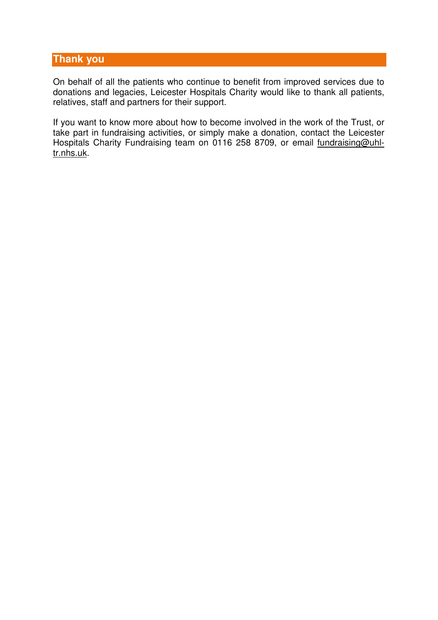### **Thank you**

On behalf of all the patients who continue to benefit from improved services due to donations and legacies, Leicester Hospitals Charity would like to thank all patients, relatives, staff and partners for their support.

If you want to know more about how to become involved in the work of the Trust, or take part in fundraising activities, or simply make a donation, contact the Leicester Hospitals Charity Fundraising team on 0116 258 8709, or email fundraising@uhltr.nhs.uk.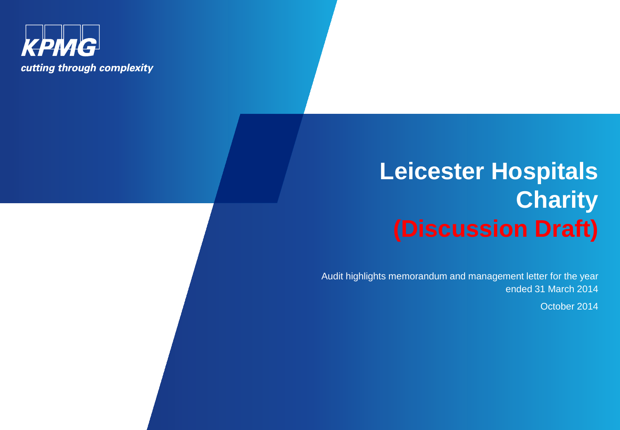

# **Leicester Hospitals Charity (Discussion Draft)**

Audit highlights memorandum and management letter for the year ended 31 March 2014

October 2014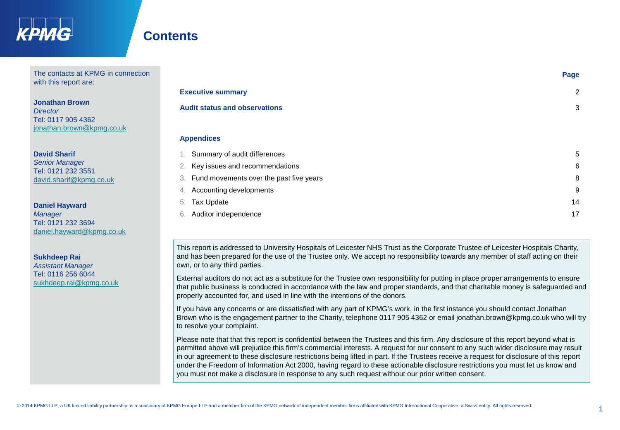

# **Contents**

6. Auditor independence

The contacts at KPMG in connection with this report are:

**Jonathan Brown** *Director* Tel: 0117 905 4362 [jonathan.brown@kpmg.co.uk](mailto:jonathan.brown@kpmg.co.uk)

**David Sharif** *Senior Manager*  Tel: 0121 232 3551 [david.sharif@kpmg.co.uk](mailto:kevin.clark@kpmg.co.uk) 

**Daniel Hayward** *Manager*  Tel: 0121 232 3694 [daniel.hayward@kpmg.co.uk](mailto:kevin.clark@kpmg.co.uk)

**Sukhdeep Rai** *Assistant Manager*  Tel: 0116 256 6044

[sukhdeep.rai@kpmg.co.uk](mailto:kevin.clark@kpmg.co.uk)

|                                            | Page |
|--------------------------------------------|------|
| <b>Executive summary</b>                   | 2    |
| <b>Audit status and observations</b>       | 3    |
|                                            |      |
| <b>Appendices</b>                          |      |
| Summary of audit differences<br>1.         | 5    |
| Key issues and recommendations<br>2.       | 6    |
| 3. Fund movements over the past five years | 8    |
| Accounting developments<br>4.              | 9    |
| 5. Tax Update                              | 14   |

This report is addressed to University Hospitals of Leicester NHS Trust as the Corporate Trustee of Leicester Hospitals Charity, and has been prepared for the use of the Trustee only. We accept no responsibility towards any member of staff acting on their own, or to any third parties.

External auditors do not act as a substitute for the Trustee own responsibility for putting in place proper arrangements to ensure that public business is conducted in accordance with the law and proper standards, and that charitable money is safeguarded and properly accounted for, and used in line with the intentions of the donors.

If you have any concerns or are dissatisfied with any part of KPMG's work, in the first instance you should contact Jonathan Brown who is the engagement partner to the Charity, telephone 0117 905 4362 or email jonathan.brown@kpmg.co.uk who will try to resolve your complaint.

Please note that that this report is confidential between the Trustees and this firm. Any disclosure of this report beyond what is permitted above will prejudice this firm's commercial interests. A request for our consent to any such wider disclosure may result in our agreement to these disclosure restrictions being lifted in part. If the Trustees receive a request for disclosure of this report under the Freedom of Information Act 2000, having regard to these actionable disclosure restrictions you must let us know and you must not make a disclosure in response to any such request without our prior written consent.

17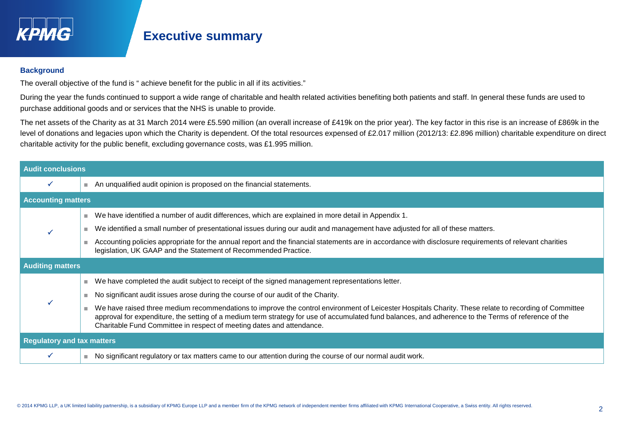

# **Executive summary**

### **Background**

The overall objective of the fund is " achieve benefit for the public in all if its activities."

During the year the funds continued to support a wide range of charitable and health related activities benefiting both patients and staff. In general these funds are used to purchase additional goods and or services that the NHS is unable to provide.

The net assets of the Charity as at 31 March 2014 were £5.590 million (an overall increase of £419k on the prior year). The key factor in this rise is an increase of £869k in the level of donations and legacies upon which the Charity is dependent. Of the total resources expensed of £2.017 million (2012/13: £2.896 million) charitable expenditure on direct charitable activity for the public benefit, excluding governance costs, was £1.995 million.

| <b>Audit conclusions</b>          |                                                                                                                                                                                                                                                                                                                                                                                        |  |
|-----------------------------------|----------------------------------------------------------------------------------------------------------------------------------------------------------------------------------------------------------------------------------------------------------------------------------------------------------------------------------------------------------------------------------------|--|
|                                   | An unqualified audit opinion is proposed on the financial statements.                                                                                                                                                                                                                                                                                                                  |  |
| <b>Accounting matters</b>         |                                                                                                                                                                                                                                                                                                                                                                                        |  |
|                                   | We have identified a number of audit differences, which are explained in more detail in Appendix 1.                                                                                                                                                                                                                                                                                    |  |
|                                   | We identified a small number of presentational issues during our audit and management have adjusted for all of these matters.                                                                                                                                                                                                                                                          |  |
|                                   | Accounting policies appropriate for the annual report and the financial statements are in accordance with disclosure requirements of relevant charities<br>legislation, UK GAAP and the Statement of Recommended Practice.                                                                                                                                                             |  |
| <b>Auditing matters</b>           |                                                                                                                                                                                                                                                                                                                                                                                        |  |
|                                   | We have completed the audit subject to receipt of the signed management representations letter.                                                                                                                                                                                                                                                                                        |  |
|                                   | No significant audit issues arose during the course of our audit of the Charity.                                                                                                                                                                                                                                                                                                       |  |
|                                   | We have raised three medium recommendations to improve the control environment of Leicester Hospitals Charity. These relate to recording of Committee<br>approval for expenditure, the setting of a medium term strategy for use of accumulated fund balances, and adherence to the Terms of reference of the<br>Charitable Fund Committee in respect of meeting dates and attendance. |  |
| <b>Regulatory and tax matters</b> |                                                                                                                                                                                                                                                                                                                                                                                        |  |
|                                   | No significant regulatory or tax matters came to our attention during the course of our normal audit work.                                                                                                                                                                                                                                                                             |  |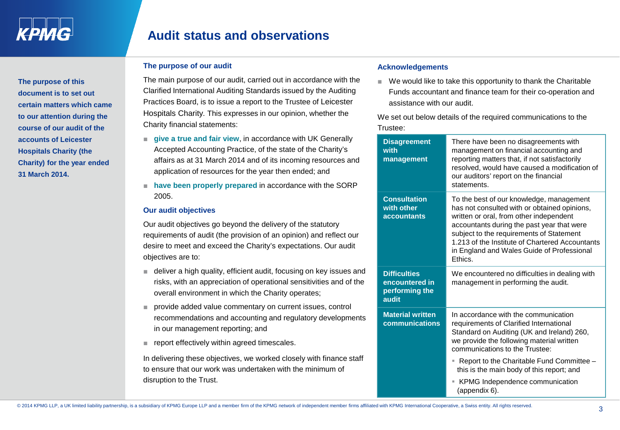**The purpose of this document is to set out certain matters which came to our attention during the course of our audit of the accounts of Leicester Hospitals Charity (the Charity) for the year ended** 

**31 March 2014.** 

# **Audit status and observations**

### **The purpose of our audit**

The main purpose of our audit, carried out in accordance with the Clarified International Auditing Standards issued by the Auditing Practices Board, is to issue a report to the Trustee of Leicester Hospitals Charity. This expresses in our opinion, whether the Charity financial statements:

- **give a true and fair view**, in accordance with UK Generally Accepted Accounting Practice, of the state of the Charity's affairs as at 31 March 2014 and of its incoming resources and application of resources for the year then ended; and
- **have been properly prepared** in accordance with the SORP 2005.

### **Our audit objectives**

Our audit objectives go beyond the delivery of the statutory requirements of audit (the provision of an opinion) and reflect our desire to meet and exceed the Charity's expectations. Our audit objectives are to:

- deliver a high quality, efficient audit, focusing on key issues and risks, with an appreciation of operational sensitivities and of the overall environment in which the Charity operates;
- provide added value commentary on current issues, control recommendations and accounting and regulatory developments in our management reporting; and
- report effectively within agreed timescales.

In delivering these objectives, we worked closely with finance staff to ensure that our work was undertaken with the minimum of disruption to the Trust.

### **Acknowledgements**

■ We would like to take this opportunity to thank the Charitable Funds accountant and finance team for their co-operation and assistance with our audit.

We set out below details of the required communications to the Trustee:

| <b>Disagreement</b><br>with<br>management                        | There have been no disagreements with<br>management on financial accounting and<br>reporting matters that, if not satisfactorily<br>resolved, would have caused a modification of<br>our auditors' report on the financial<br>statements.                                                                                                 |
|------------------------------------------------------------------|-------------------------------------------------------------------------------------------------------------------------------------------------------------------------------------------------------------------------------------------------------------------------------------------------------------------------------------------|
| <b>Consultation</b><br>with other<br><b>accountants</b>          | To the best of our knowledge, management<br>has not consulted with or obtained opinions,<br>written or oral, from other independent<br>accountants during the past year that were<br>subject to the requirements of Statement<br>1.213 of the Institute of Chartered Accountants<br>in England and Wales Guide of Professional<br>Ethics. |
| <b>Difficulties</b><br>encountered in<br>performing the<br>audit | We encountered no difficulties in dealing with<br>management in performing the audit.                                                                                                                                                                                                                                                     |
| <b>Material written</b><br>communications                        | In accordance with the communication<br>requirements of Clarified International<br>Standard on Auditing (UK and Ireland) 260,<br>we provide the following material written<br>communications to the Trustee:                                                                                                                              |
|                                                                  | Report to the Charitable Fund Committee -<br>ш<br>this is the main body of this report; and                                                                                                                                                                                                                                               |
|                                                                  | KPMG Independence communication<br>ш                                                                                                                                                                                                                                                                                                      |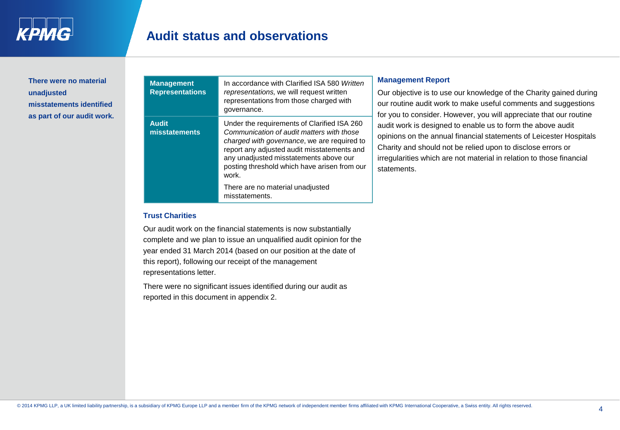**There were no material unadjusted misstatements identified as part of our audit work.**

| <b>Management</b><br><b>Representations</b> | In accordance with Clarified ISA 580 Written<br>representations, we will request written<br>representations from those charged with<br>governance.                                                                                                                                                                            |
|---------------------------------------------|-------------------------------------------------------------------------------------------------------------------------------------------------------------------------------------------------------------------------------------------------------------------------------------------------------------------------------|
| <b>Audit</b><br>misstatements               | Under the requirements of Clarified ISA 260<br>Communication of audit matters with those<br>charged with governance, we are required to<br>report any adjusted audit misstatements and<br>any unadjusted misstatements above our<br>posting threshold which have arisen from our<br>work.<br>There are no material unadjusted |
|                                             | misstatements.                                                                                                                                                                                                                                                                                                                |

### **Management Report**

Our objective is to use our knowledge of the Charity gained during our routine audit work to make useful comments and suggestions for you to consider. However, you will appreciate that our routine audit work is designed to enable us to form the above audit opinions on the annual financial statements of Leicester Hospitals Charity and should not be relied upon to disclose errors or irregularities which are not material in relation to those financial statements.

#### **Trust Charities**

Our audit work on the financial statements is now substantially complete and we plan to issue an unqualified audit opinion for the year ended 31 March 2014 (based on our position at the date of this report), following our receipt of the management representations letter.

There were no significant issues identified during our audit as reported in this document in appendix 2.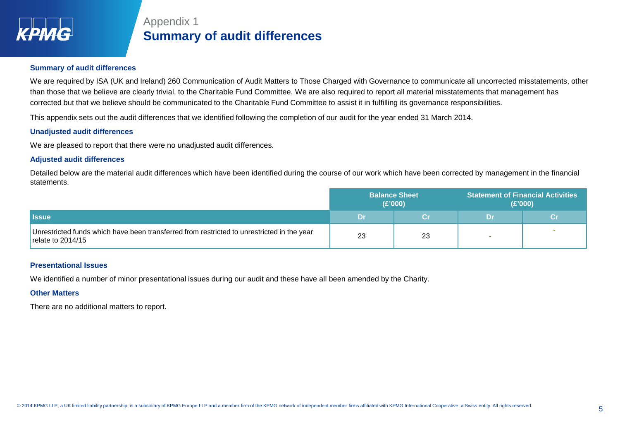

# Appendix 1 **Summary of audit differences**

### **Summary of audit differences**

We are required by ISA (UK and Ireland) 260 Communication of Audit Matters to Those Charged with Governance to communicate all uncorrected misstatements, other than those that we believe are clearly trivial, to the Charitable Fund Committee. We are also required to report all material misstatements that management has corrected but that we believe should be communicated to the Charitable Fund Committee to assist it in fulfilling its governance responsibilities.

This appendix sets out the audit differences that we identified following the completion of our audit for the year ended 31 March 2014.

### **Unadjusted audit differences**

We are pleased to report that there were no unadjusted audit differences.

### **Adjusted audit differences**

Detailed below are the material audit differences which have been identified during the course of our work which have been corrected by management in the financial statements.

|                                                                                                                   | <b>Balance Sheet</b><br>(E'000) |    | <b>Statement of Financial Activities</b><br>(E'000) |  |
|-------------------------------------------------------------------------------------------------------------------|---------------------------------|----|-----------------------------------------------------|--|
| <b>I</b> Issue                                                                                                    | .Dr                             |    | Dr                                                  |  |
| Unrestricted funds which have been transferred from restricted to unrestricted in the year<br>relate to $2014/15$ | 23                              | 23 |                                                     |  |

#### **Presentational Issues**

We identified a number of minor presentational issues during our audit and these have all been amended by the Charity.

#### **Other Matters**

There are no additional matters to report.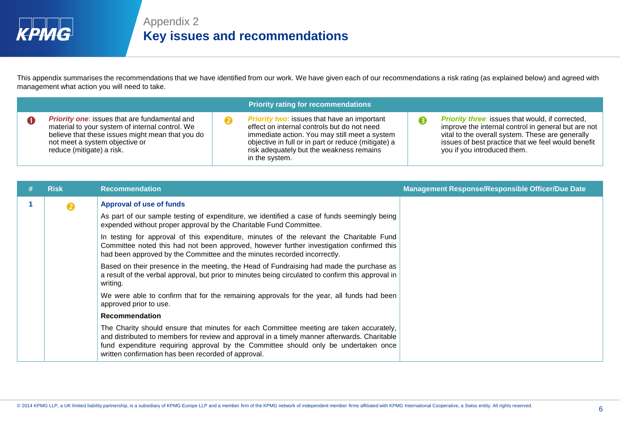

This appendix summarises the recommendations that we have identified from our work. We have given each of our recommendations a risk rating (as explained below) and agreed with management what action you will need to take.

|                                                                                                                                                                                                                            | <b>Priority rating for recommendations</b>                                                                                                                                                                                                                              |                                                                                                                                                                                                                                                         |
|----------------------------------------------------------------------------------------------------------------------------------------------------------------------------------------------------------------------------|-------------------------------------------------------------------------------------------------------------------------------------------------------------------------------------------------------------------------------------------------------------------------|---------------------------------------------------------------------------------------------------------------------------------------------------------------------------------------------------------------------------------------------------------|
| <b>Priority one:</b> issues that are fundamental and<br>material to your system of internal control. We<br>believe that these issues might mean that you do<br>not meet a system objective or<br>reduce (mitigate) a risk. | <b>Priority two:</b> issues that have an important<br>effect on internal controls but do not need<br>immediate action. You may still meet a system<br>objective in full or in part or reduce (mitigate) a<br>risk adequately but the weakness remains<br>in the system. | <b>Priority three:</b> issues that would, if corrected,<br>improve the internal control in general but are not<br>vital to the overall system. These are generally<br>issues of best practice that we feel would benefit<br>you if you introduced them. |

| <b>Risk</b> | <b>Recommendation</b>                                                                                                                                                                                                                                                                                                                 | <b>Management Response/Responsible Officer/Due Date</b> |
|-------------|---------------------------------------------------------------------------------------------------------------------------------------------------------------------------------------------------------------------------------------------------------------------------------------------------------------------------------------|---------------------------------------------------------|
| 2           | Approval of use of funds                                                                                                                                                                                                                                                                                                              |                                                         |
|             | As part of our sample testing of expenditure, we identified a case of funds seemingly being<br>expended without proper approval by the Charitable Fund Committee.                                                                                                                                                                     |                                                         |
|             | In testing for approval of this expenditure, minutes of the relevant the Charitable Fund<br>Committee noted this had not been approved, however further investigation confirmed this<br>had been approved by the Committee and the minutes recorded incorrectly.                                                                      |                                                         |
|             | Based on their presence in the meeting, the Head of Fundraising had made the purchase as<br>a result of the verbal approval, but prior to minutes being circulated to confirm this approval in<br>writing.                                                                                                                            |                                                         |
|             | We were able to confirm that for the remaining approvals for the year, all funds had been<br>approved prior to use.                                                                                                                                                                                                                   |                                                         |
|             | <b>Recommendation</b>                                                                                                                                                                                                                                                                                                                 |                                                         |
|             | The Charity should ensure that minutes for each Committee meeting are taken accurately,<br>and distributed to members for review and approval in a timely manner afterwards. Charitable<br>fund expenditure requiring approval by the Committee should only be undertaken once<br>written confirmation has been recorded of approval. |                                                         |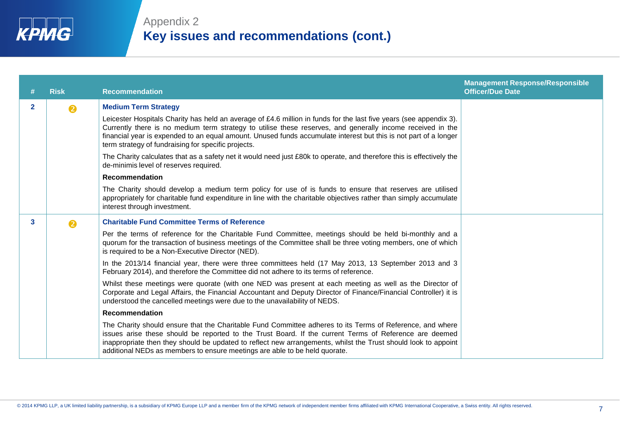|              | <b>Risk</b>           | <b>Recommendation</b>                                                                                                                                                                                                                                                                                                                                                                                               | <b>Management Response/Responsible</b><br><b>Officer/Due Date</b> |
|--------------|-----------------------|---------------------------------------------------------------------------------------------------------------------------------------------------------------------------------------------------------------------------------------------------------------------------------------------------------------------------------------------------------------------------------------------------------------------|-------------------------------------------------------------------|
| $\mathbf{2}$ | $\boldsymbol{\Omega}$ | <b>Medium Term Strategy</b>                                                                                                                                                                                                                                                                                                                                                                                         |                                                                   |
|              |                       | Leicester Hospitals Charity has held an average of £4.6 million in funds for the last five years (see appendix 3).<br>Currently there is no medium term strategy to utilise these reserves, and generally income received in the<br>financial year is expended to an equal amount. Unused funds accumulate interest but this is not part of a longer<br>term strategy of fundraising for specific projects.         |                                                                   |
|              |                       | The Charity calculates that as a safety net it would need just £80k to operate, and therefore this is effectively the<br>de-minimis level of reserves required.                                                                                                                                                                                                                                                     |                                                                   |
|              |                       | <b>Recommendation</b>                                                                                                                                                                                                                                                                                                                                                                                               |                                                                   |
|              |                       | The Charity should develop a medium term policy for use of is funds to ensure that reserves are utilised<br>appropriately for charitable fund expenditure in line with the charitable objectives rather than simply accumulate<br>interest through investment.                                                                                                                                                      |                                                                   |
| 3            | $\boldsymbol{\Omega}$ | <b>Charitable Fund Committee Terms of Reference</b>                                                                                                                                                                                                                                                                                                                                                                 |                                                                   |
|              |                       | Per the terms of reference for the Charitable Fund Committee, meetings should be held bi-monthly and a<br>quorum for the transaction of business meetings of the Committee shall be three voting members, one of which<br>is required to be a Non-Executive Director (NED).                                                                                                                                         |                                                                   |
|              |                       | In the 2013/14 financial year, there were three committees held (17 May 2013, 13 September 2013 and 3<br>February 2014), and therefore the Committee did not adhere to its terms of reference.                                                                                                                                                                                                                      |                                                                   |
|              |                       | Whilst these meetings were quorate (with one NED was present at each meeting as well as the Director of<br>Corporate and Legal Affairs, the Financial Accountant and Deputy Director of Finance/Financial Controller) it is<br>understood the cancelled meetings were due to the unavailability of NEDS.                                                                                                            |                                                                   |
|              |                       | <b>Recommendation</b>                                                                                                                                                                                                                                                                                                                                                                                               |                                                                   |
|              |                       | The Charity should ensure that the Charitable Fund Committee adheres to its Terms of Reference, and where<br>issues arise these should be reported to the Trust Board. If the current Terms of Reference are deemed<br>inappropriate then they should be updated to reflect new arrangements, whilst the Trust should look to appoint<br>additional NEDs as members to ensure meetings are able to be held quorate. |                                                                   |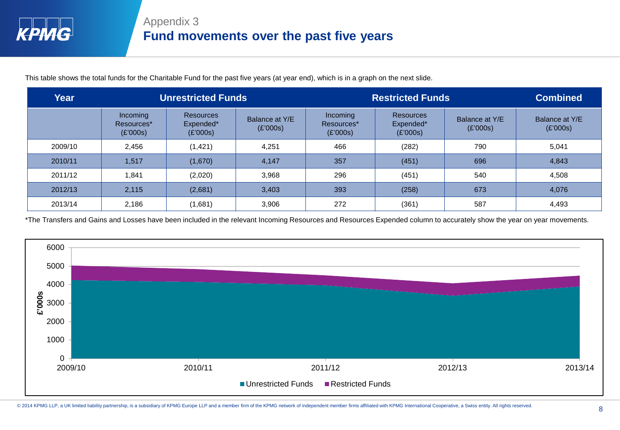This table shows the total funds for the Charitable Fund for the past five years (at year end), which is in a graph on the next slide.

| Year    | <b>Unrestricted Funds</b>          |                                           | <b>Restricted Funds</b>    |                                    |                                           | <b>Combined</b>            |                            |
|---------|------------------------------------|-------------------------------------------|----------------------------|------------------------------------|-------------------------------------------|----------------------------|----------------------------|
|         | Incoming<br>Resources*<br>(E'000s) | <b>Resources</b><br>Expended*<br>(E'000s) | Balance at Y/E<br>(E'000s) | Incoming<br>Resources*<br>(E'000s) | <b>Resources</b><br>Expended*<br>(E'000s) | Balance at Y/E<br>(E'000s) | Balance at Y/E<br>(E'000s) |
| 2009/10 | 2.456                              | (1, 421)                                  | 4.251                      | 466                                | (282)                                     | 790                        | 5,041                      |
| 2010/11 | 1,517                              | (1,670)                                   | 4,147                      | 357                                | (451)                                     | 696                        | 4,843                      |
| 2011/12 | 1,841                              | (2,020)                                   | 3.968                      | 296                                | (451)                                     | 540                        | 4,508                      |
| 2012/13 | 2,115                              | (2,681)                                   | 3,403                      | 393                                | (258)                                     | 673                        | 4,076                      |
| 2013/14 | 2,186                              | (1,681)                                   | 3,906                      | 272                                | (361)                                     | 587                        | 4,493                      |

\*The Transfers and Gains and Losses have been included in the relevant Incoming Resources and Resources Expended column to accurately show the year on year movements.

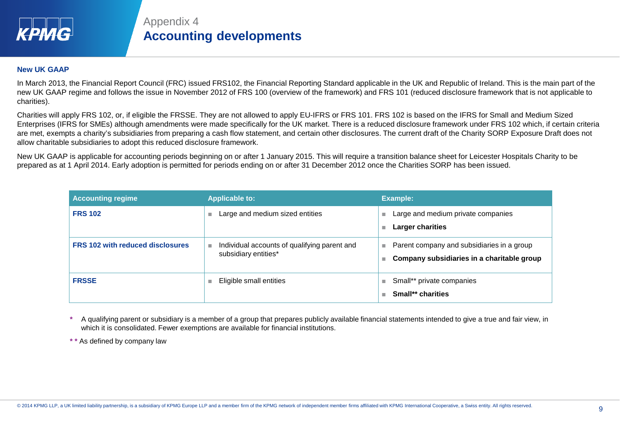

# Appendix 4 **Accounting developments**

### **New UK GAAP**

In March 2013, the Financial Report Council (FRC) issued FRS102, the Financial Reporting Standard applicable in the UK and Republic of Ireland. This is the main part of the new UK GAAP regime and follows the issue in November 2012 of FRS 100 (overview of the framework) and FRS 101 (reduced disclosure framework that is not applicable to charities).

Charities will apply FRS 102, or, if eligible the FRSSE. They are not allowed to apply EU-IFRS or FRS 101. FRS 102 is based on the IFRS for Small and Medium Sized Enterprises (IFRS for SMEs) although amendments were made specifically for the UK market. There is a reduced disclosure framework under FRS 102 which, if certain criteria are met, exempts a charity's subsidiaries from preparing a cash flow statement, and certain other disclosures. The current draft of the Charity SORP Exposure Draft does not allow charitable subsidiaries to adopt this reduced disclosure framework.

New UK GAAP is applicable for accounting periods beginning on or after 1 January 2015. This will require a transition balance sheet for Leicester Hospitals Charity to be prepared as at 1 April 2014. Early adoption is permitted for periods ending on or after 31 December 2012 once the Charities SORP has been issued.

| <b>Accounting regime</b>                | <b>Applicable to:</b>                                                      | Example:                                                                                      |
|-----------------------------------------|----------------------------------------------------------------------------|-----------------------------------------------------------------------------------------------|
| <b>FRS 102</b>                          | Large and medium sized entities<br>٠                                       | Large and medium private companies<br>Larger charities                                        |
| <b>FRS 102 with reduced disclosures</b> | Individual accounts of qualifying parent and<br>m.<br>subsidiary entities* | Parent company and subsidiaries in a group<br>П<br>Company subsidiaries in a charitable group |
| <b>FRSSE</b>                            | Eligible small entities<br>m.                                              | Small** private companies<br>Small** charities                                                |

**\*** A qualifying parent or subsidiary is a member of a group that prepares publicly available financial statements intended to give a true and fair view, in which it is consolidated. Fewer exemptions are available for financial institutions.

**\* \*** As defined by company law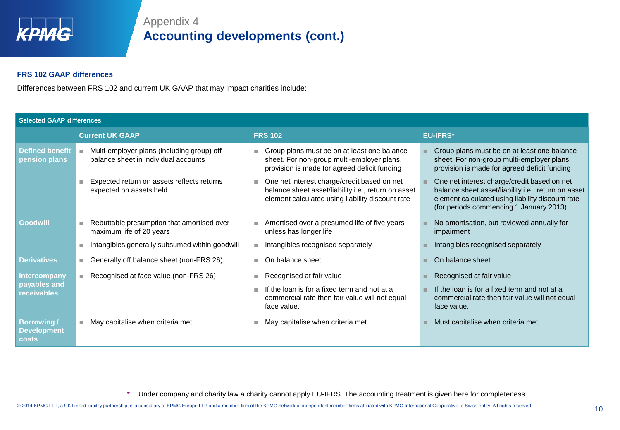

### **FRS 102 GAAP differences**

Differences between FRS 102 and current UK GAAP that may impact charities include:

| <b>Selected GAAP differences</b>                   |                                                                                    |                                                                                                                                                        |                                                                                                                                                                                                   |  |  |  |
|----------------------------------------------------|------------------------------------------------------------------------------------|--------------------------------------------------------------------------------------------------------------------------------------------------------|---------------------------------------------------------------------------------------------------------------------------------------------------------------------------------------------------|--|--|--|
|                                                    | <b>Current UK GAAP</b>                                                             | <b>FRS 102</b>                                                                                                                                         | <b>EU-IFRS*</b>                                                                                                                                                                                   |  |  |  |
| <b>Defined benefit</b><br>pension plans            | Multi-employer plans (including group) off<br>balance sheet in individual accounts | Group plans must be on at least one balance<br>ш<br>sheet. For non-group multi-employer plans,<br>provision is made for agreed deficit funding         | Group plans must be on at least one balance<br>sheet. For non-group multi-employer plans,<br>provision is made for agreed deficit funding                                                         |  |  |  |
|                                                    | Expected return on assets reflects returns<br>expected on assets held              | One net interest charge/credit based on net<br>balance sheet asset/liability i.e., return on asset<br>element calculated using liability discount rate | One net interest charge/credit based on net<br>balance sheet asset/liability i.e., return on asset<br>element calculated using liability discount rate<br>(for periods commencing 1 January 2013) |  |  |  |
| <b>Goodwill</b>                                    | Rebuttable presumption that amortised over<br>maximum life of 20 years             | Amortised over a presumed life of five years<br>٠<br>unless has longer life                                                                            | No amortisation, but reviewed annually for<br>impairment                                                                                                                                          |  |  |  |
|                                                    | Intangibles generally subsumed within goodwill                                     | Intangibles recognised separately<br>$\blacksquare$                                                                                                    | Intangibles recognised separately                                                                                                                                                                 |  |  |  |
| <b>Derivatives</b>                                 | ■ Generally off balance sheet (non-FRS 26)                                         | On balance sheet<br>×.                                                                                                                                 | On balance sheet                                                                                                                                                                                  |  |  |  |
| Intercompany<br>payables and<br><b>receivables</b> | Recognised at face value (non-FRS 26)<br>٠                                         | Recognised at fair value<br>ш<br>If the loan is for a fixed term and not at a<br>m.<br>commercial rate then fair value will not equal<br>face value.   | Recognised at fair value<br>If the loan is for a fixed term and not at a<br>commercial rate then fair value will not equal<br>face value.                                                         |  |  |  |
| <b>Borrowing/</b><br><b>Development</b><br>costs   | May capitalise when criteria met<br>ш                                              | May capitalise when criteria met<br>ш                                                                                                                  | Must capitalise when criteria met                                                                                                                                                                 |  |  |  |

**\*** Under company and charity law a charity cannot apply EU-IFRS. The accounting treatment is given here for completeness.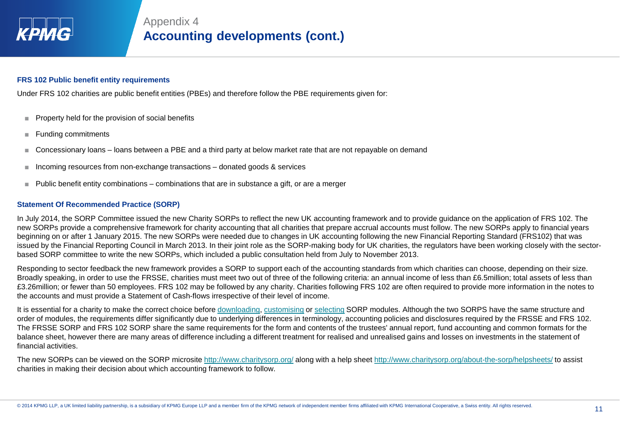

### **FRS 102 Public benefit entity requirements**

Under FRS 102 charities are public benefit entities (PBEs) and therefore follow the PBE requirements given for:

- Property held for the provision of social benefits
- Funding commitments
- Concessionary loans loans between a PBE and a third party at below market rate that are not repayable on demand
- Incoming resources from non-exchange transactions donated goods & services
- Public benefit entity combinations combinations that are in substance a gift, or are a merger

### **Statement Of Recommended Practice (SORP)**

In July 2014, the SORP Committee issued the new Charity SORPs to reflect the new UK accounting framework and to provide guidance on the application of FRS 102. The new SORPs provide a comprehensive framework for charity accounting that all charities that prepare accrual accounts must follow. The new SORPs apply to financial years beginning on or after 1 January 2015. The new SORPs were needed due to changes in UK accounting following the new Financial Reporting Standard (FRS102) that was issued by the Financial Reporting Council in March 2013. In their joint role as the SORP-making body for UK charities, the regulators have been working closely with the sectorbased SORP committee to write the new SORPs, which included a public consultation held from July to November 2013.

Responding to sector feedback the new framework provides a SORP to support each of the accounting standards from which charities can choose, depending on their size. Broadly speaking, in order to use the FRSSE, charities must meet two out of three of the following criteria: an annual income of less than £6.5million; total assets of less than £3.26million; or fewer than 50 employees. FRS 102 may be followed by any charity. Charities following FRS 102 are often required to provide more information in the notes to the accounts and must provide a Statement of Cash-flows irrespective of their level of income.

It is essential for a charity to make the correct choice before [downloading](http://www.charitysorp.org/download-a-full-sorp/), [customising](http://www.charitysorp.org/customise-your-sorp/) or [selecting](http://www.charitysorp.org/choose-sorp-modules/) SORP modules. Although the two SORPS have the same structure and order of modules, the requirements differ significantly due to underlying differences in terminology, accounting policies and disclosures required by the FRSSE and FRS 102. The FRSSE SORP and FRS 102 SORP share the same requirements for the form and contents of the trustees' annual report, fund accounting and common formats for the balance sheet, however there are many areas of difference including a different treatment for realised and unrealised gains and losses on investments in the statement of financial activities.

The new SORPs can be viewed on the SORP microsite <http://www.charitysorp.org/> along with a help sheet<http://www.charitysorp.org/about-the-sorp/helpsheets/> to assist charities in making their decision about which accounting framework to follow.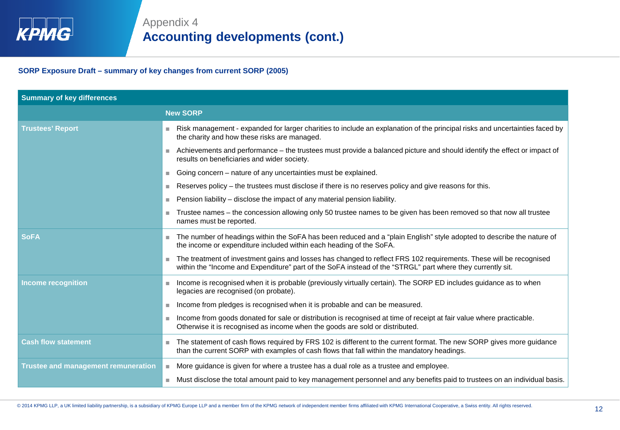**SORP Exposure Draft – summary of key changes from current SORP (2005)**

| <b>Summary of key differences</b>          |                                                                                                                                                                                                                                  |
|--------------------------------------------|----------------------------------------------------------------------------------------------------------------------------------------------------------------------------------------------------------------------------------|
|                                            | <b>New SORP</b>                                                                                                                                                                                                                  |
| <b>Trustees' Report</b>                    | Risk management - expanded for larger charities to include an explanation of the principal risks and uncertainties faced by<br>m.<br>the charity and how these risks are managed.                                                |
|                                            | Achievements and performance – the trustees must provide a balanced picture and should identify the effect or impact of<br>m.<br>results on beneficiaries and wider society.                                                     |
|                                            | Going concern - nature of any uncertainties must be explained.                                                                                                                                                                   |
|                                            | Reserves policy - the trustees must disclose if there is no reserves policy and give reasons for this.<br>ш                                                                                                                      |
|                                            | Pension liability - disclose the impact of any material pension liability.<br>٠                                                                                                                                                  |
|                                            | Trustee names – the concession allowing only 50 trustee names to be given has been removed so that now all trustee<br>ш<br>names must be reported.                                                                               |
| <b>SoFA</b>                                | The number of headings within the SoFA has been reduced and a "plain English" style adopted to describe the nature of<br>the income or expenditure included within each heading of the SoFA.                                     |
|                                            | The treatment of investment gains and losses has changed to reflect FRS 102 requirements. These will be recognised<br>within the "Income and Expenditure" part of the SoFA instead of the "STRGL" part where they currently sit. |
| Income recognition                         | Income is recognised when it is probable (previously virtually certain). The SORP ED includes guidance as to when<br>m.<br>legacies are recognised (on probate).                                                                 |
|                                            | Income from pledges is recognised when it is probable and can be measured.<br>٠                                                                                                                                                  |
|                                            | Income from goods donated for sale or distribution is recognised at time of receipt at fair value where practicable.<br>Otherwise it is recognised as income when the goods are sold or distributed.                             |
| <b>Cash flow statement</b>                 | The statement of cash flows required by FRS 102 is different to the current format. The new SORP gives more guidance<br>ш<br>than the current SORP with examples of cash flows that fall within the mandatory headings.          |
| <b>Trustee and management remuneration</b> | More guidance is given for where a trustee has a dual role as a trustee and employee.<br>$\overline{\phantom{a}}$                                                                                                                |
|                                            | Must disclose the total amount paid to key management personnel and any benefits paid to trustees on an individual basis.<br>m.                                                                                                  |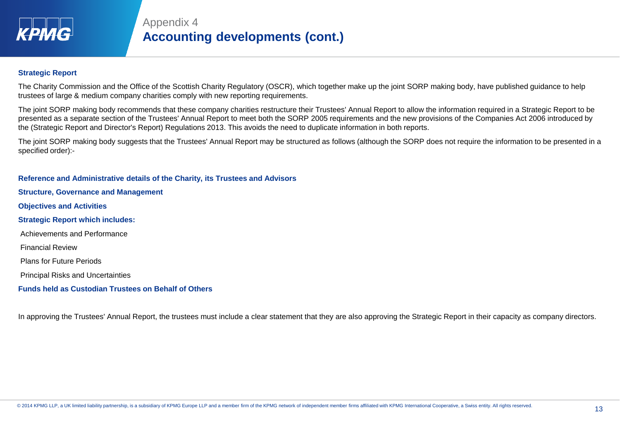

### **Strategic Report**

The Charity Commission and the Office of the Scottish Charity Regulatory (OSCR), which together make up the joint SORP making body, have published guidance to help trustees of large & medium company charities comply with new reporting requirements.

The joint SORP making body recommends that these company charities restructure their Trustees' Annual Report to allow the information required in a Strategic Report to be presented as a separate section of the Trustees' Annual Report to meet both the SORP 2005 requirements and the new provisions of the Companies Act 2006 introduced by the (Strategic Report and Director's Report) Regulations 2013. This avoids the need to duplicate information in both reports.

The joint SORP making body suggests that the Trustees' Annual Report may be structured as follows (although the SORP does not require the information to be presented in a specified order):-

**Reference and Administrative details of the Charity, its Trustees and Advisors Structure, Governance and Management Objectives and Activities Strategic Report which includes:**  Achievements and Performance Financial Review Plans for Future Periods Principal Risks and Uncertainties **Funds held as Custodian Trustees on Behalf of Others** 

In approving the Trustees' Annual Report, the trustees must include a clear statement that they are also approving the Strategic Report in their capacity as company directors.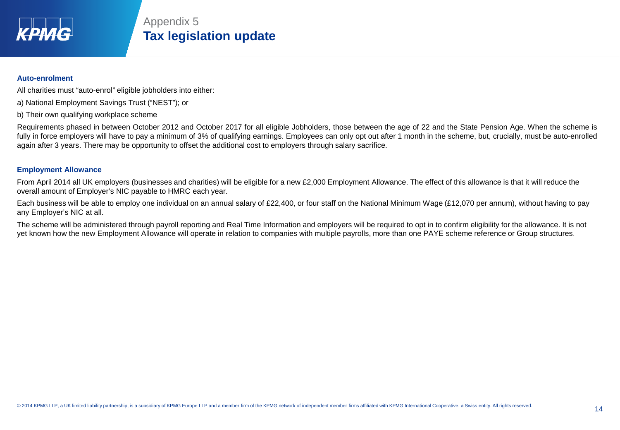

# Appendix 5 **Tax legislation update**

### **Auto-enrolment**

All charities must "auto-enrol" eligible jobholders into either:

- a) National Employment Savings Trust ("NEST"); or
- b) Their own qualifying workplace scheme

Requirements phased in between October 2012 and October 2017 for all eligible Jobholders, those between the age of 22 and the State Pension Age. When the scheme is fully in force employers will have to pay a minimum of 3% of qualifying earnings. Employees can only opt out after 1 month in the scheme, but, crucially, must be auto-enrolled again after 3 years. There may be opportunity to offset the additional cost to employers through salary sacrifice.

### **Employment Allowance**

From April 2014 all UK employers (businesses and charities) will be eligible for a new £2,000 Employment Allowance. The effect of this allowance is that it will reduce the overall amount of Employer's NIC payable to HMRC each year.

Each business will be able to employ one individual on an annual salary of £22,400, or four staff on the National Minimum Wage (£12,070 per annum), without having to pay any Employer's NIC at all.

The scheme will be administered through payroll reporting and Real Time Information and employers will be required to opt in to confirm eligibility for the allowance. It is not yet known how the new Employment Allowance will operate in relation to companies with multiple payrolls, more than one PAYE scheme reference or Group structures.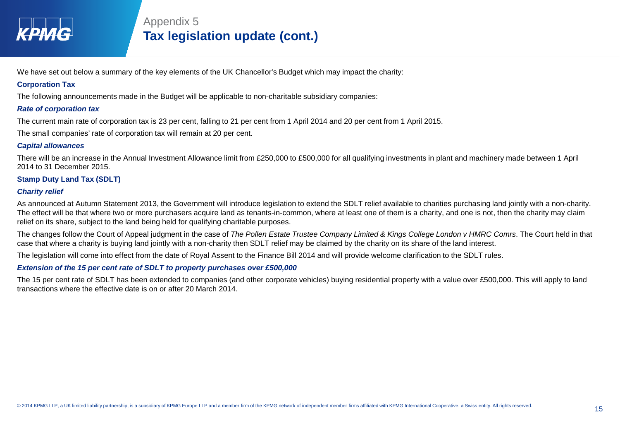

We have set out below a summary of the key elements of the UK Chancellor's Budget which may impact the charity:

### **Corporation Tax**

The following announcements made in the Budget will be applicable to non-charitable subsidiary companies:

### *Rate of corporation tax*

The current main rate of corporation tax is 23 per cent, falling to 21 per cent from 1 April 2014 and 20 per cent from 1 April 2015.

The small companies' rate of corporation tax will remain at 20 per cent.

### *Capital allowances*

There will be an increase in the Annual Investment Allowance limit from £250,000 to £500,000 for all qualifying investments in plant and machinery made between 1 April 2014 to 31 December 2015.

### **Stamp Duty Land Tax (SDLT)**

### *Charity relief*

As announced at Autumn Statement 2013, the Government will introduce legislation to extend the SDLT relief available to charities purchasing land jointly with a non-charity. The effect will be that where two or more purchasers acquire land as tenants-in-common, where at least one of them is a charity, and one is not, then the charity may claim relief on its share, subject to the land being held for qualifying charitable purposes.

The changes follow the Court of Appeal judgment in the case of *The Pollen Estate Trustee Company Limited & Kings College London v HMRC Comrs*. The Court held in that case that where a charity is buying land jointly with a non-charity then SDLT relief may be claimed by the charity on its share of the land interest.

The legislation will come into effect from the date of Royal Assent to the Finance Bill 2014 and will provide welcome clarification to the SDLT rules.

### *Extension of the 15 per cent rate of SDLT to property purchases over £500,000*

The 15 per cent rate of SDLT has been extended to companies (and other corporate vehicles) buying residential property with a value over £500,000. This will apply to land transactions where the effective date is on or after 20 March 2014.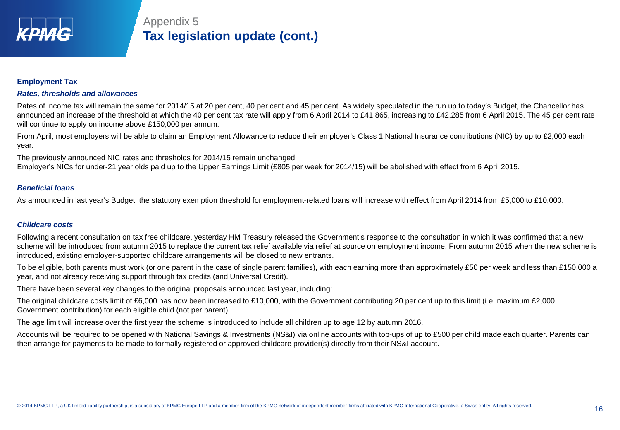

# Appendix 5 **Tax legislation update (cont.)**

### **Employment Tax**

#### *Rates, thresholds and allowances*

Rates of income tax will remain the same for 2014/15 at 20 per cent, 40 per cent and 45 per cent. As widely speculated in the run up to today's Budget, the Chancellor has announced an increase of the threshold at which the 40 per cent tax rate will apply from 6 April 2014 to £41,865, increasing to £42,285 from 6 April 2015. The 45 per cent rate will continue to apply on income above £150,000 per annum.

From April, most employers will be able to claim an Employment Allowance to reduce their employer's Class 1 National Insurance contributions (NIC) by up to £2,000 each year.

The previously announced NIC rates and thresholds for 2014/15 remain unchanged.

Employer's NICs for under-21 year olds paid up to the Upper Earnings Limit (£805 per week for 2014/15) will be abolished with effect from 6 April 2015.

### *Beneficial loans*

As announced in last year's Budget, the statutory exemption threshold for employment-related loans will increase with effect from April 2014 from £5,000 to £10,000.

#### *Childcare costs*

Following a recent consultation on tax free childcare, yesterday HM Treasury released the Government's response to the consultation in which it was confirmed that a new scheme will be introduced from autumn 2015 to replace the current tax relief available via relief at source on employment income. From autumn 2015 when the new scheme is introduced, existing employer-supported childcare arrangements will be closed to new entrants.

To be eligible, both parents must work (or one parent in the case of single parent families), with each earning more than approximately £50 per week and less than £150,000 a year, and not already receiving support through tax credits (and Universal Credit).

There have been several key changes to the original proposals announced last year, including:

The original childcare costs limit of £6,000 has now been increased to £10,000, with the Government contributing 20 per cent up to this limit (i.e. maximum £2,000 Government contribution) for each eligible child (not per parent).

The age limit will increase over the first year the scheme is introduced to include all children up to age 12 by autumn 2016.

Accounts will be required to be opened with National Savings & Investments (NS&I) via online accounts with top-ups of up to £500 per child made each quarter. Parents can then arrange for payments to be made to formally registered or approved childcare provider(s) directly from their NS&I account.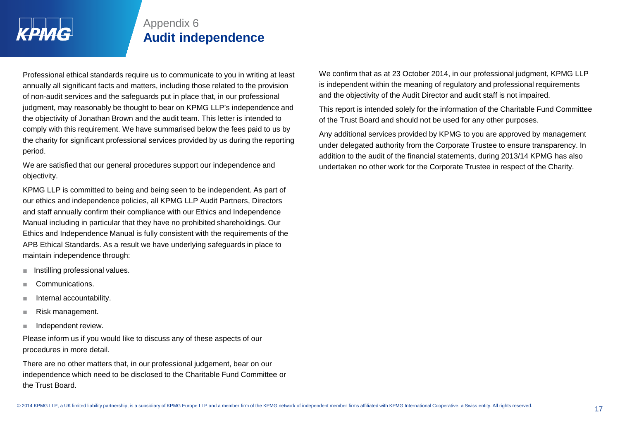

# Appendix 6 **Audit independence**

Professional ethical standards require us to communicate to you in writing at least annually all significant facts and matters, including those related to the provision of non-audit services and the safeguards put in place that, in our professional judgment, may reasonably be thought to bear on KPMG LLP's independence and the objectivity of Jonathan Brown and the audit team. This letter is intended to comply with this requirement. We have summarised below the fees paid to us by the charity for significant professional services provided by us during the reporting period.

We are satisfied that our general procedures support our independence and objectivity.

KPMG LLP is committed to being and being seen to be independent. As part of our ethics and independence policies, all KPMG LLP Audit Partners, Directors and staff annually confirm their compliance with our Ethics and Independence Manual including in particular that they have no prohibited shareholdings. Our Ethics and Independence Manual is fully consistent with the requirements of the APB Ethical Standards. As a result we have underlying safeguards in place to maintain independence through:

- Instilling professional values.
- Communications.
- Internal accountability.
- Risk management.
- Independent review.

Please inform us if you would like to discuss any of these aspects of our procedures in more detail.

There are no other matters that, in our professional judgement, bear on our independence which need to be disclosed to the Charitable Fund Committee or the Trust Board.

We confirm that as at 23 October 2014, in our professional judgment, KPMG LLP is independent within the meaning of regulatory and professional requirements and the objectivity of the Audit Director and audit staff is not impaired.

This report is intended solely for the information of the Charitable Fund Committee of the Trust Board and should not be used for any other purposes.

Any additional services provided by KPMG to you are approved by management under delegated authority from the Corporate Trustee to ensure transparency. In addition to the audit of the financial statements, during 2013/14 KPMG has also undertaken no other work for the Corporate Trustee in respect of the Charity.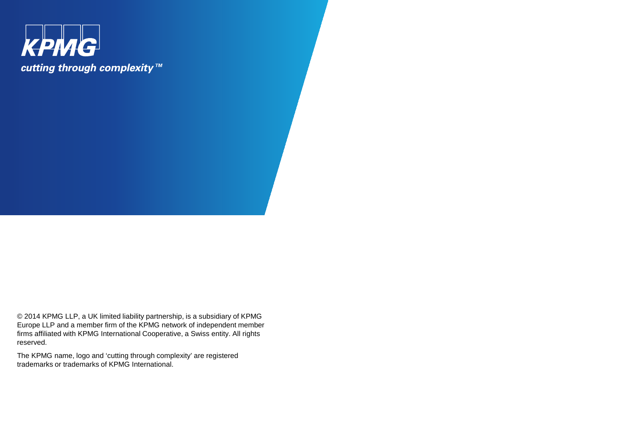

© 2014 KPMG LLP, a UK limited liability partnership, is a subsidiary of KPMG Europe LLP and a member firm of the KPMG network of independent member firms affiliated with KPMG International Cooperative, a Swiss entity. All rights reserved.

The KPMG name, logo and 'cutting through complexity' are registered trademarks or trademarks of KPMG International.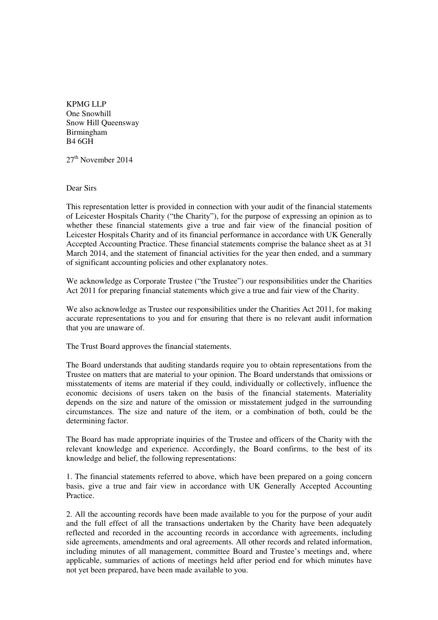KPMG LLP One Snowhill Snow Hill Queensway Birmingham B4 6GH

 $27<sup>th</sup>$  November  $2014$ 

Dear Sirs

This representation letter is provided in connection with your audit of the financial statements of Leicester Hospitals Charity ("the Charity"), for the purpose of expressing an opinion as to whether these financial statements give a true and fair view of the financial position of Leicester Hospitals Charity and of its financial performance in accordance with UK Generally Accepted Accounting Practice. These financial statements comprise the balance sheet as at 31 March 2014, and the statement of financial activities for the year then ended, and a summary of significant accounting policies and other explanatory notes.

We acknowledge as Corporate Trustee ("the Trustee") our responsibilities under the Charities Act 2011 for preparing financial statements which give a true and fair view of the Charity.

We also acknowledge as Trustee our responsibilities under the Charities Act 2011, for making accurate representations to you and for ensuring that there is no relevant audit information that you are unaware of.

The Trust Board approves the financial statements.

The Board understands that auditing standards require you to obtain representations from the Trustee on matters that are material to your opinion. The Board understands that omissions or misstatements of items are material if they could, individually or collectively, influence the economic decisions of users taken on the basis of the financial statements. Materiality depends on the size and nature of the omission or misstatement judged in the surrounding circumstances. The size and nature of the item, or a combination of both, could be the determining factor.

The Board has made appropriate inquiries of the Trustee and officers of the Charity with the relevant knowledge and experience. Accordingly, the Board confirms, to the best of its knowledge and belief, the following representations:

1. The financial statements referred to above, which have been prepared on a going concern basis, give a true and fair view in accordance with UK Generally Accepted Accounting Practice.

2. All the accounting records have been made available to you for the purpose of your audit and the full effect of all the transactions undertaken by the Charity have been adequately reflected and recorded in the accounting records in accordance with agreements, including side agreements, amendments and oral agreements. All other records and related information, including minutes of all management, committee Board and Trustee's meetings and, where applicable, summaries of actions of meetings held after period end for which minutes have not yet been prepared, have been made available to you.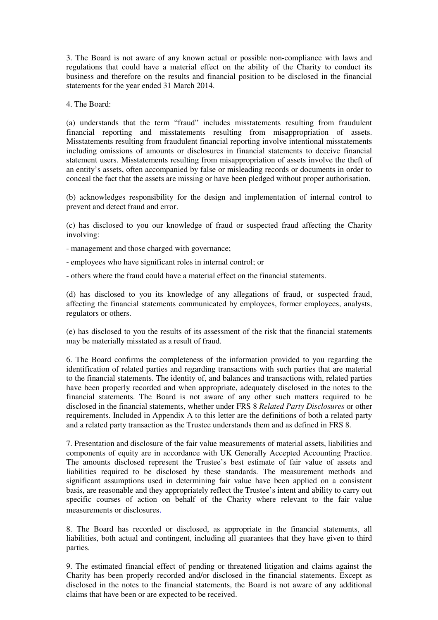3. The Board is not aware of any known actual or possible non-compliance with laws and regulations that could have a material effect on the ability of the Charity to conduct its business and therefore on the results and financial position to be disclosed in the financial statements for the year ended 31 March 2014.

4. The Board:

(a) understands that the term "fraud" includes misstatements resulting from fraudulent financial reporting and misstatements resulting from misappropriation of assets. Misstatements resulting from fraudulent financial reporting involve intentional misstatements including omissions of amounts or disclosures in financial statements to deceive financial statement users. Misstatements resulting from misappropriation of assets involve the theft of an entity's assets, often accompanied by false or misleading records or documents in order to conceal the fact that the assets are missing or have been pledged without proper authorisation.

(b) acknowledges responsibility for the design and implementation of internal control to prevent and detect fraud and error.

(c) has disclosed to you our knowledge of fraud or suspected fraud affecting the Charity involving:

- management and those charged with governance;

- employees who have significant roles in internal control; or

- others where the fraud could have a material effect on the financial statements.

(d) has disclosed to you its knowledge of any allegations of fraud, or suspected fraud, affecting the financial statements communicated by employees, former employees, analysts, regulators or others.

(e) has disclosed to you the results of its assessment of the risk that the financial statements may be materially misstated as a result of fraud.

6. The Board confirms the completeness of the information provided to you regarding the identification of related parties and regarding transactions with such parties that are material to the financial statements. The identity of, and balances and transactions with, related parties have been properly recorded and when appropriate, adequately disclosed in the notes to the financial statements. The Board is not aware of any other such matters required to be disclosed in the financial statements, whether under FRS 8 *Related Party Disclosures* or other requirements. Included in Appendix A to this letter are the definitions of both a related party and a related party transaction as the Trustee understands them and as defined in FRS 8.

7. Presentation and disclosure of the fair value measurements of material assets, liabilities and components of equity are in accordance with UK Generally Accepted Accounting Practice. The amounts disclosed represent the Trustee's best estimate of fair value of assets and liabilities required to be disclosed by these standards. The measurement methods and significant assumptions used in determining fair value have been applied on a consistent basis, are reasonable and they appropriately reflect the Trustee's intent and ability to carry out specific courses of action on behalf of the Charity where relevant to the fair value measurements or disclosures.

8. The Board has recorded or disclosed, as appropriate in the financial statements, all liabilities, both actual and contingent, including all guarantees that they have given to third parties.

9. The estimated financial effect of pending or threatened litigation and claims against the Charity has been properly recorded and/or disclosed in the financial statements. Except as disclosed in the notes to the financial statements, the Board is not aware of any additional claims that have been or are expected to be received.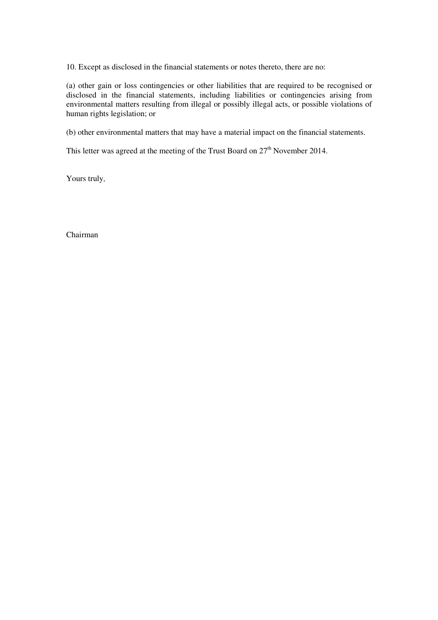10. Except as disclosed in the financial statements or notes thereto, there are no:

(a) other gain or loss contingencies or other liabilities that are required to be recognised or disclosed in the financial statements, including liabilities or contingencies arising from environmental matters resulting from illegal or possibly illegal acts, or possible violations of human rights legislation; or

(b) other environmental matters that may have a material impact on the financial statements.

This letter was agreed at the meeting of the Trust Board on  $27<sup>th</sup>$  November 2014.

Yours truly,

Chairman